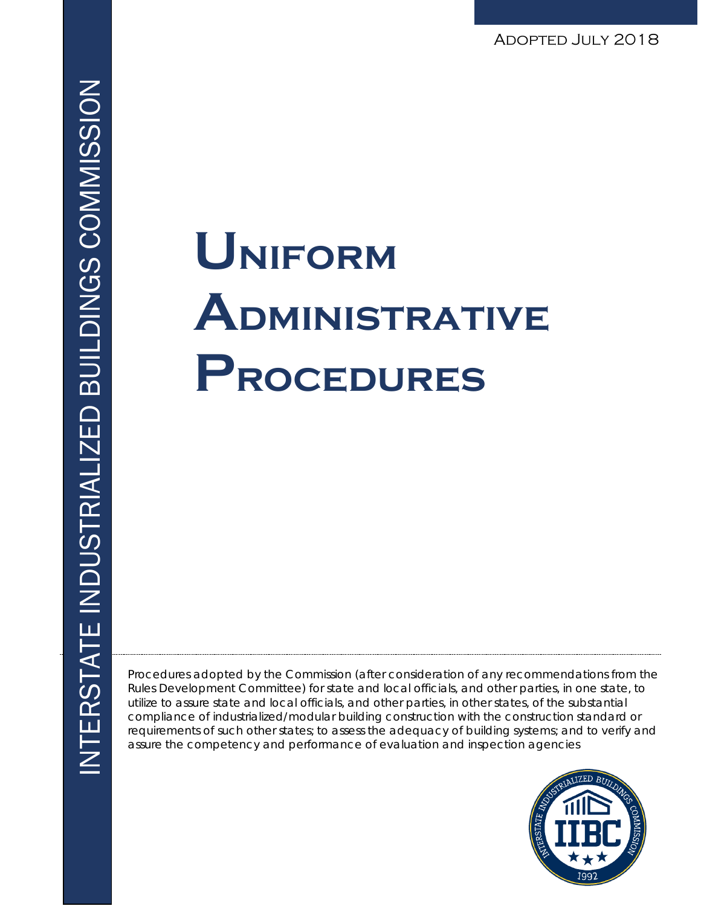Adopted July 2018

# **Uniform Administrative Procedures**

Procedures adopted by the Commission (after consideration of any recommendations from the Rules Development Committee) for state and local officials, and other parties, in one state, to utilize to assure state and local officials, and other parties, in other states, of the substantial compliance of industrialized/modular building construction with the construction standard or requirements of such other states; to assess the adequacy of building systems; and to verify and assure the competency and performance of evaluation and inspection agencies

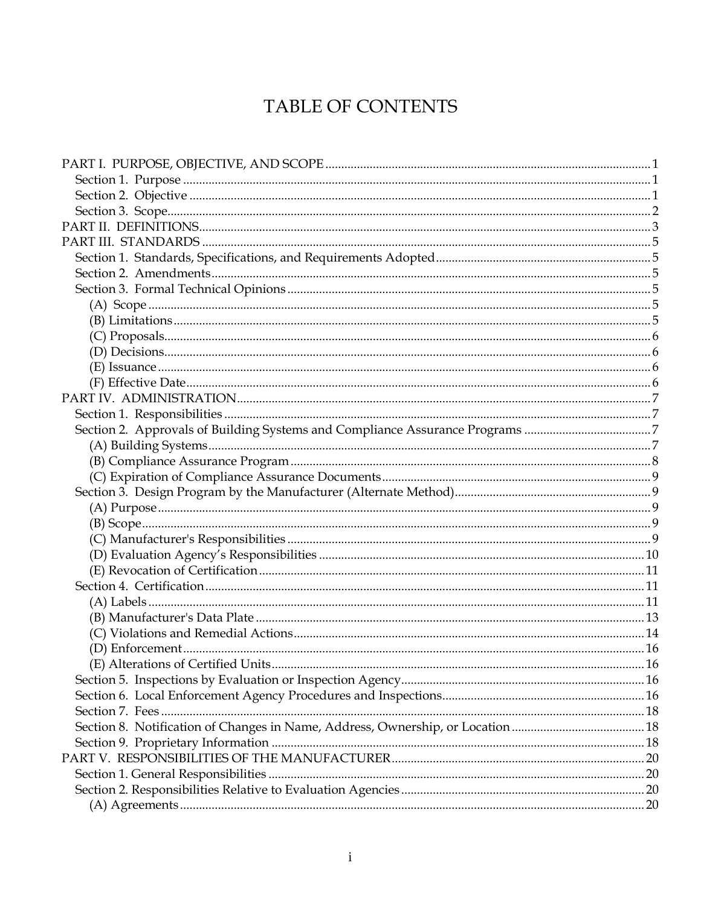# TABLE OF CONTENTS

| Section 2. Approvals of Building Systems and Compliance Assurance Programs 7  |  |
|-------------------------------------------------------------------------------|--|
|                                                                               |  |
|                                                                               |  |
|                                                                               |  |
|                                                                               |  |
|                                                                               |  |
|                                                                               |  |
|                                                                               |  |
|                                                                               |  |
|                                                                               |  |
|                                                                               |  |
|                                                                               |  |
|                                                                               |  |
|                                                                               |  |
|                                                                               |  |
|                                                                               |  |
|                                                                               |  |
|                                                                               |  |
|                                                                               |  |
| Section 8. Notification of Changes in Name, Address, Ownership, or Location18 |  |
|                                                                               |  |
|                                                                               |  |
|                                                                               |  |
|                                                                               |  |
|                                                                               |  |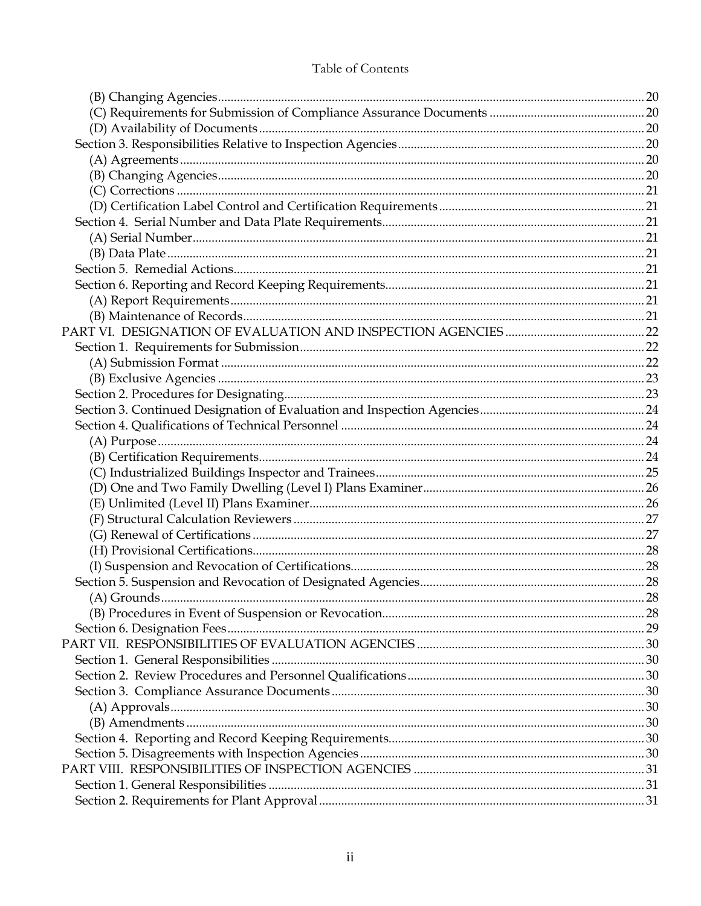# Table of Contents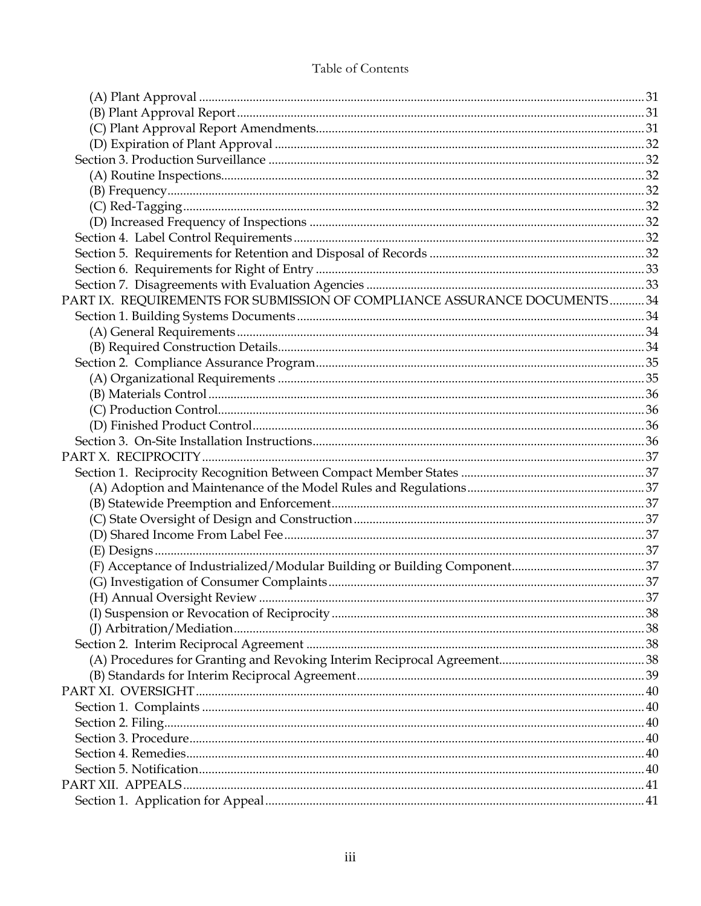# Table of Contents

| PART IX. REQUIREMENTS FOR SUBMISSION OF COMPLIANCE ASSURANCE DOCUMENTS34 |  |
|--------------------------------------------------------------------------|--|
|                                                                          |  |
|                                                                          |  |
|                                                                          |  |
|                                                                          |  |
|                                                                          |  |
|                                                                          |  |
|                                                                          |  |
|                                                                          |  |
|                                                                          |  |
|                                                                          |  |
|                                                                          |  |
|                                                                          |  |
|                                                                          |  |
|                                                                          |  |
|                                                                          |  |
|                                                                          |  |
|                                                                          |  |
|                                                                          |  |
|                                                                          |  |
|                                                                          |  |
|                                                                          |  |
|                                                                          |  |
|                                                                          |  |
|                                                                          |  |
|                                                                          |  |
|                                                                          |  |
|                                                                          |  |
|                                                                          |  |
|                                                                          |  |
|                                                                          |  |
|                                                                          |  |
|                                                                          |  |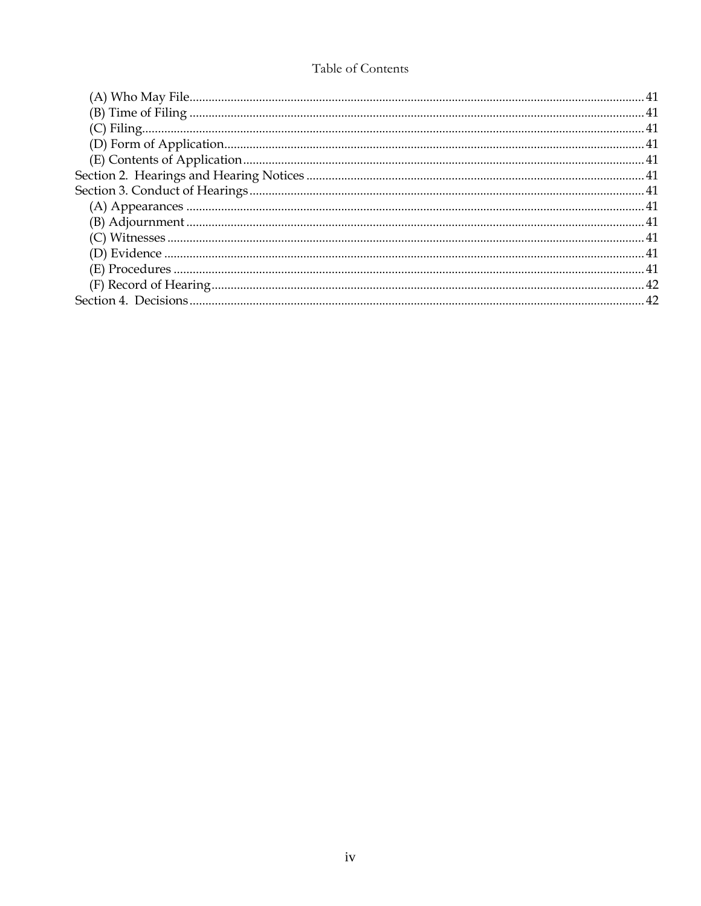# Table of Contents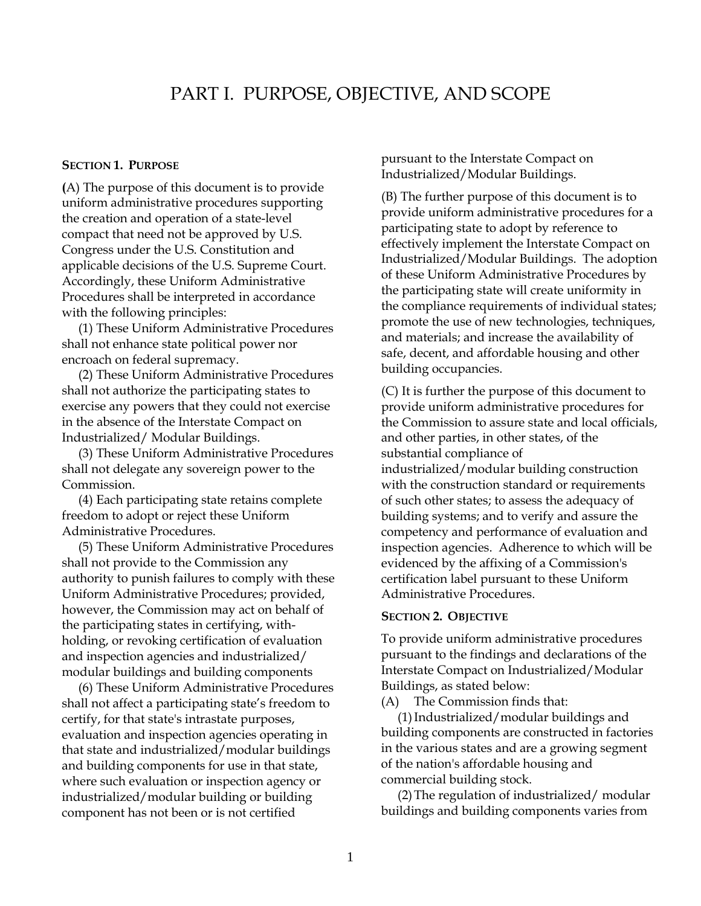# <span id="page-6-1"></span>PART I. PURPOSE, OBJECTIVE, AND SCOPE

#### **SECTION 1. PURPOSE**

**(**A) The purpose of this document is to provide uniform administrative procedures supporting the creation and operation of a state-level compact that need not be approved by U.S. Congress under the U.S. Constitution and applicable decisions of the U.S. Supreme Court. Accordingly, these Uniform Administrative Procedures shall be interpreted in accordance with the following principles:

(1) These Uniform Administrative Procedures shall not enhance state political power nor encroach on federal supremacy.

(2) These Uniform Administrative Procedures shall not authorize the participating states to exercise any powers that they could not exercise in the absence of the Interstate Compact on Industrialized/ Modular Buildings.

(3) These Uniform Administrative Procedures shall not delegate any sovereign power to the Commission.

(4) Each participating state retains complete freedom to adopt or reject these Uniform Administrative Procedures.

(5) These Uniform Administrative Procedures shall not provide to the Commission any authority to punish failures to comply with these Uniform Administrative Procedures; provided, however, the Commission may act on behalf of the participating states in certifying, withholding, or revoking certification of evaluation and inspection agencies and industrialized/ modular buildings and building components

(6) These Uniform Administrative Procedures shall not affect a participating state's freedom to certify, for that state's intrastate purposes, evaluation and inspection agencies operating in that state and industrialized/modular buildings and building components for use in that state, where such evaluation or inspection agency or industrialized/modular building or building component has not been or is not certified

<span id="page-6-0"></span>pursuant to the Interstate Compact on Industrialized/Modular Buildings.

(B) The further purpose of this document is to provide uniform administrative procedures for a participating state to adopt by reference to effectively implement the Interstate Compact on Industrialized/Modular Buildings. The adoption of these Uniform Administrative Procedures by the participating state will create uniformity in the compliance requirements of individual states; promote the use of new technologies, techniques, and materials; and increase the availability of safe, decent, and affordable housing and other building occupancies.

(C) It is further the purpose of this document to provide uniform administrative procedures for the Commission to assure state and local officials, and other parties, in other states, of the substantial compliance of industrialized/modular building construction with the construction standard or requirements of such other states; to assess the adequacy of building systems; and to verify and assure the competency and performance of evaluation and inspection agencies. Adherence to which will be evidenced by the affixing of a Commission's certification label pursuant to these Uniform Administrative Procedures.

#### <span id="page-6-2"></span>**SECTION 2. OBJECTIVE**

To provide uniform administrative procedures pursuant to the findings and declarations of the Interstate Compact on Industrialized/Modular Buildings, as stated below:

(A) The Commission finds that:

(1)Industrialized/modular buildings and building components are constructed in factories in the various states and are a growing segment of the nation's affordable housing and commercial building stock.

(2)The regulation of industrialized/ modular buildings and building components varies from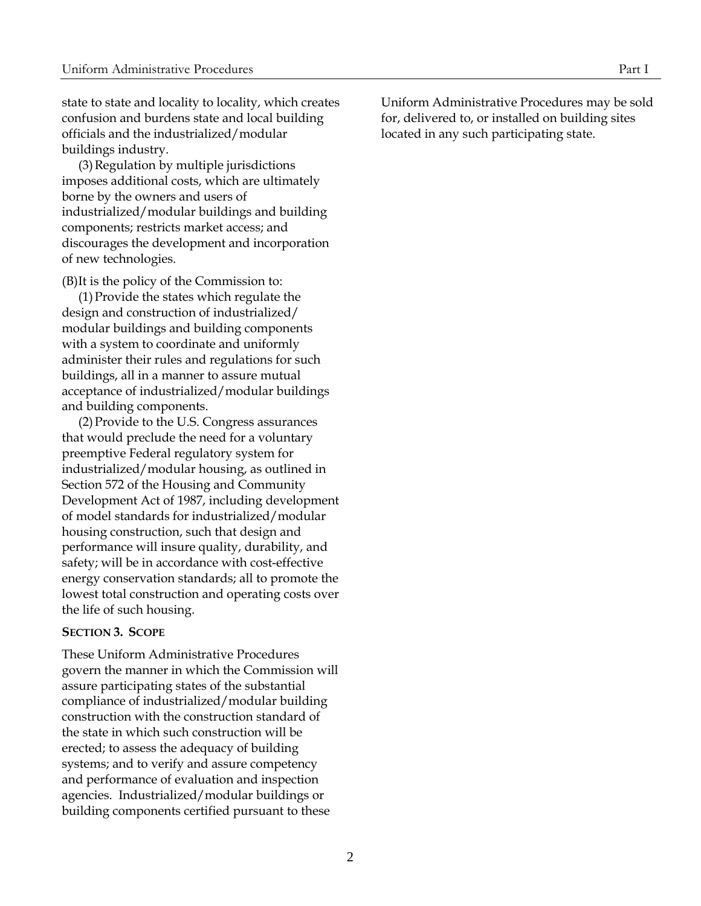state to state and locality to locality, which creates confusion and burdens state and local building officials and the industrialized/modular buildings industry.

(3)Regulation by multiple jurisdictions imposes additional costs, which are ultimately borne by the owners and users of industrialized/modular buildings and building components; restricts market access; and discourages the development and incorporation of new technologies.

(B)It is the policy of the Commission to:

(1)Provide the states which regulate the design and construction of industrialized/ modular buildings and building components with a system to coordinate and uniformly administer their rules and regulations for such buildings, all in a manner to assure mutual acceptance of industrialized/modular buildings and building components.

(2)Provide to the U.S. Congress assurances that would preclude the need for a voluntary preemptive Federal regulatory system for industrialized/modular housing, as outlined in Section 572 of the Housing and Community Development Act of 1987, including development of model standards for industrialized/modular housing construction, such that design and performance will insure quality, durability, and safety; will be in accordance with cost-effective energy conservation standards; all to promote the lowest total construction and operating costs over the life of such housing.

#### <span id="page-7-0"></span>**SECTION 3. SCOPE**

These Uniform Administrative Procedures govern the manner in which the Commission will assure participating states of the substantial compliance of industrialized/modular building construction with the construction standard of the state in which such construction will be erected; to assess the adequacy of building systems; and to verify and assure competency and performance of evaluation and inspection agencies. Industrialized/modular buildings or building components certified pursuant to these

Uniform Administrative Procedures may be sold for, delivered to, or installed on building sites located in any such participating state.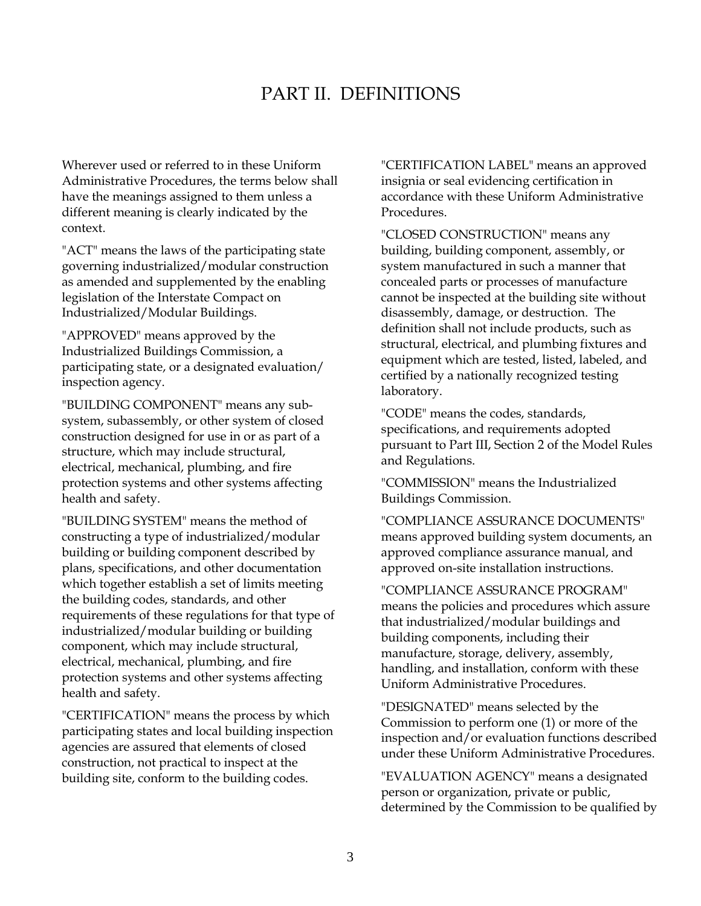# PART II. DEFINITIONS

Wherever used or referred to in these Uniform Administrative Procedures, the terms below shall have the meanings assigned to them unless a different meaning is clearly indicated by the context.

"ACT" means the laws of the participating state governing industrialized/modular construction as amended and supplemented by the enabling legislation of the Interstate Compact on Industrialized/Modular Buildings.

"APPROVED" means approved by the Industrialized Buildings Commission, a participating state, or a designated evaluation/ inspection agency.

"BUILDING COMPONENT" means any subsystem, subassembly, or other system of closed construction designed for use in or as part of a structure, which may include structural, electrical, mechanical, plumbing, and fire protection systems and other systems affecting health and safety.

"BUILDING SYSTEM" means the method of constructing a type of industrialized/modular building or building component described by plans, specifications, and other documentation which together establish a set of limits meeting the building codes, standards, and other requirements of these regulations for that type of industrialized/modular building or building component, which may include structural, electrical, mechanical, plumbing, and fire protection systems and other systems affecting health and safety.

"CERTIFICATION" means the process by which participating states and local building inspection agencies are assured that elements of closed construction, not practical to inspect at the building site, conform to the building codes.

<span id="page-8-0"></span>"CERTIFICATION LABEL" means an approved insignia or seal evidencing certification in accordance with these Uniform Administrative Procedures.

"CLOSED CONSTRUCTION" means any building, building component, assembly, or system manufactured in such a manner that concealed parts or processes of manufacture cannot be inspected at the building site without disassembly, damage, or destruction. The definition shall not include products, such as structural, electrical, and plumbing fixtures and equipment which are tested, listed, labeled, and certified by a nationally recognized testing laboratory.

"CODE" means the codes, standards, specifications, and requirements adopted pursuant to Part III, Section 2 of the Model Rules and Regulations.

"COMMISSION" means the Industrialized Buildings Commission.

"COMPLIANCE ASSURANCE DOCUMENTS" means approved building system documents, an approved compliance assurance manual, and approved on-site installation instructions.

"COMPLIANCE ASSURANCE PROGRAM" means the policies and procedures which assure that industrialized/modular buildings and building components, including their manufacture, storage, delivery, assembly, handling, and installation, conform with these Uniform Administrative Procedures.

"DESIGNATED" means selected by the Commission to perform one (1) or more of the inspection and/or evaluation functions described under these Uniform Administrative Procedures.

"EVALUATION AGENCY" means a designated person or organization, private or public, determined by the Commission to be qualified by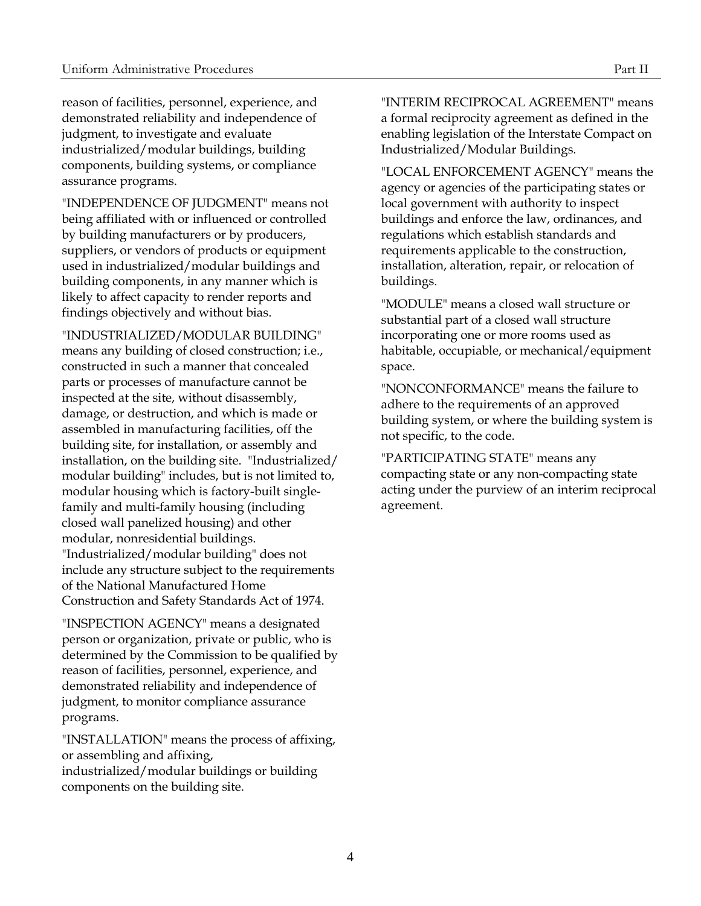reason of facilities, personnel, experience, and demonstrated reliability and independence of judgment, to investigate and evaluate industrialized/modular buildings, building components, building systems, or compliance assurance programs.

"INDEPENDENCE OF JUDGMENT" means not being affiliated with or influenced or controlled by building manufacturers or by producers, suppliers, or vendors of products or equipment used in industrialized/modular buildings and building components, in any manner which is likely to affect capacity to render reports and findings objectively and without bias.

"INDUSTRIALIZED/MODULAR BUILDING" means any building of closed construction; i.e., constructed in such a manner that concealed parts or processes of manufacture cannot be inspected at the site, without disassembly, damage, or destruction, and which is made or assembled in manufacturing facilities, off the building site, for installation, or assembly and installation, on the building site. "Industrialized/ modular building" includes, but is not limited to, modular housing which is factory-built singlefamily and multi-family housing (including closed wall panelized housing) and other modular, nonresidential buildings. "Industrialized/modular building" does not include any structure subject to the requirements of the National Manufactured Home Construction and Safety Standards Act of 1974.

"INSPECTION AGENCY" means a designated person or organization, private or public, who is determined by the Commission to be qualified by reason of facilities, personnel, experience, and demonstrated reliability and independence of judgment, to monitor compliance assurance programs.

"INSTALLATION" means the process of affixing, or assembling and affixing, industrialized/modular buildings or building components on the building site.

"INTERIM RECIPROCAL AGREEMENT" means a formal reciprocity agreement as defined in the enabling legislation of the Interstate Compact on Industrialized/Modular Buildings.

"LOCAL ENFORCEMENT AGENCY" means the agency or agencies of the participating states or local government with authority to inspect buildings and enforce the law, ordinances, and regulations which establish standards and requirements applicable to the construction, installation, alteration, repair, or relocation of buildings.

"MODULE" means a closed wall structure or substantial part of a closed wall structure incorporating one or more rooms used as habitable, occupiable, or mechanical/equipment space.

"NONCONFORMANCE" means the failure to adhere to the requirements of an approved building system, or where the building system is not specific, to the code.

"PARTICIPATING STATE" means any compacting state or any non-compacting state acting under the purview of an interim reciprocal agreement.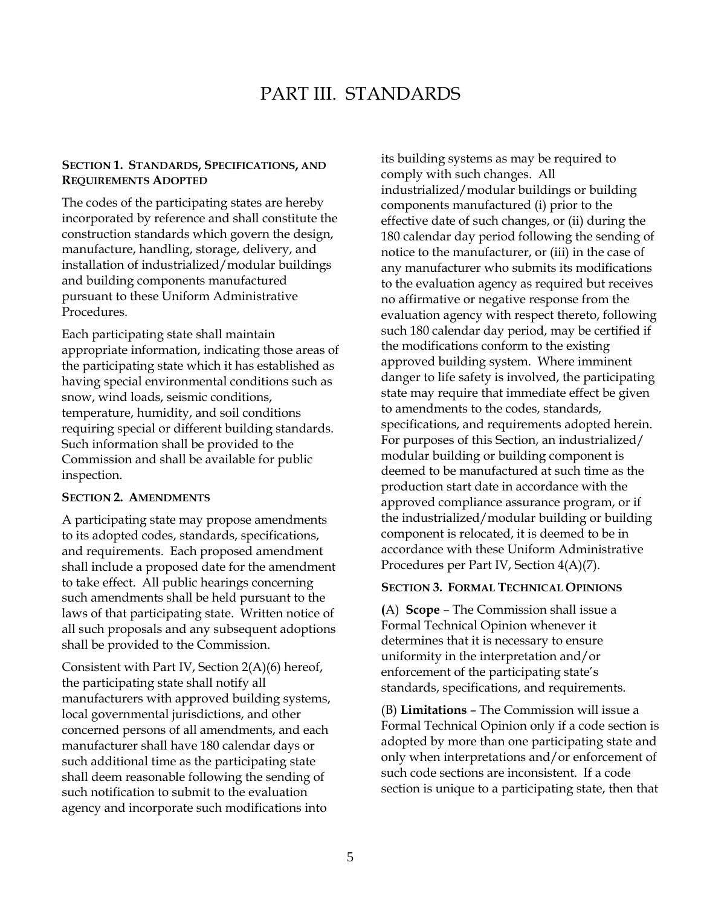# <span id="page-10-1"></span>PART III. STANDARDS

#### **SECTION 1. STANDARDS, SPECIFICATIONS, AND REQUIREMENTS ADOPTED**

The codes of the participating states are hereby incorporated by reference and shall constitute the construction standards which govern the design, manufacture, handling, storage, delivery, and installation of industrialized/modular buildings and building components manufactured pursuant to these Uniform Administrative Procedures.

Each participating state shall maintain appropriate information, indicating those areas of the participating state which it has established as having special environmental conditions such as snow, wind loads, seismic conditions, temperature, humidity, and soil conditions requiring special or different building standards. Such information shall be provided to the Commission and shall be available for public inspection.

#### <span id="page-10-2"></span>**SECTION 2. AMENDMENTS**

A participating state may propose amendments to its adopted codes, standards, specifications, and requirements. Each proposed amendment shall include a proposed date for the amendment to take effect. All public hearings concerning such amendments shall be held pursuant to the laws of that participating state. Written notice of all such proposals and any subsequent adoptions shall be provided to the Commission.

Consistent with Part IV, Section 2(A)(6) hereof, the participating state shall notify all manufacturers with approved building systems, local governmental jurisdictions, and other concerned persons of all amendments, and each manufacturer shall have 180 calendar days or such additional time as the participating state shall deem reasonable following the sending of such notification to submit to the evaluation agency and incorporate such modifications into

<span id="page-10-0"></span>its building systems as may be required to comply with such changes. All industrialized/modular buildings or building components manufactured (i) prior to the effective date of such changes, or (ii) during the 180 calendar day period following the sending of notice to the manufacturer, or (iii) in the case of any manufacturer who submits its modifications to the evaluation agency as required but receives no affirmative or negative response from the evaluation agency with respect thereto, following such 180 calendar day period, may be certified if the modifications conform to the existing approved building system. Where imminent danger to life safety is involved, the participating state may require that immediate effect be given to amendments to the codes, standards, specifications, and requirements adopted herein. For purposes of this Section, an industrialized/ modular building or building component is deemed to be manufactured at such time as the production start date in accordance with the approved compliance assurance program, or if the industrialized/modular building or building component is relocated, it is deemed to be in accordance with these Uniform Administrative Procedures per Part IV, Section 4(A)(7).

#### <span id="page-10-3"></span>**SECTION 3. FORMAL TECHNICAL OPINIONS**

<span id="page-10-4"></span>**(**A) **Scope** – The Commission shall issue a Formal Technical Opinion whenever it determines that it is necessary to ensure uniformity in the interpretation and/or enforcement of the participating state's standards, specifications, and requirements.

<span id="page-10-5"></span>(B) **Limitations** – The Commission will issue a Formal Technical Opinion only if a code section is adopted by more than one participating state and only when interpretations and/or enforcement of such code sections are inconsistent. If a code section is unique to a participating state, then that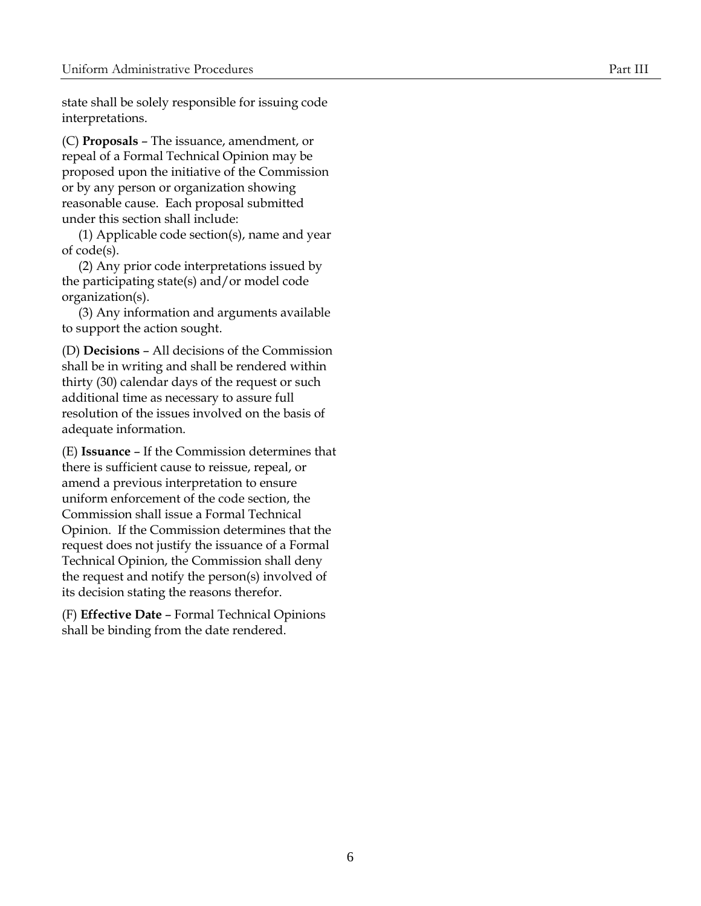state shall be solely responsible for issuing code interpretations.

<span id="page-11-0"></span>(C) **Proposals** – The issuance, amendment, or repeal of a Formal Technical Opinion may be proposed upon the initiative of the Commission or by any person or organization showing reasonable cause. Each proposal submitted under this section shall include:

(1) Applicable code section(s), name and year of code(s).

(2) Any prior code interpretations issued by the participating state(s) and/or model code organization(s).

(3) Any information and arguments available to support the action sought.

<span id="page-11-1"></span>(D) **Decisions** – All decisions of the Commission shall be in writing and shall be rendered within thirty (30) calendar days of the request or such additional time as necessary to assure full resolution of the issues involved on the basis of adequate information.

<span id="page-11-2"></span>(E) **Issuance** – If the Commission determines that there is sufficient cause to reissue, repeal, or amend a previous interpretation to ensure uniform enforcement of the code section, the Commission shall issue a Formal Technical Opinion. If the Commission determines that the request does not justify the issuance of a Formal Technical Opinion, the Commission shall deny the request and notify the person(s) involved of its decision stating the reasons therefor.

<span id="page-11-3"></span>(F) **Effective Date** – Formal Technical Opinions shall be binding from the date rendered.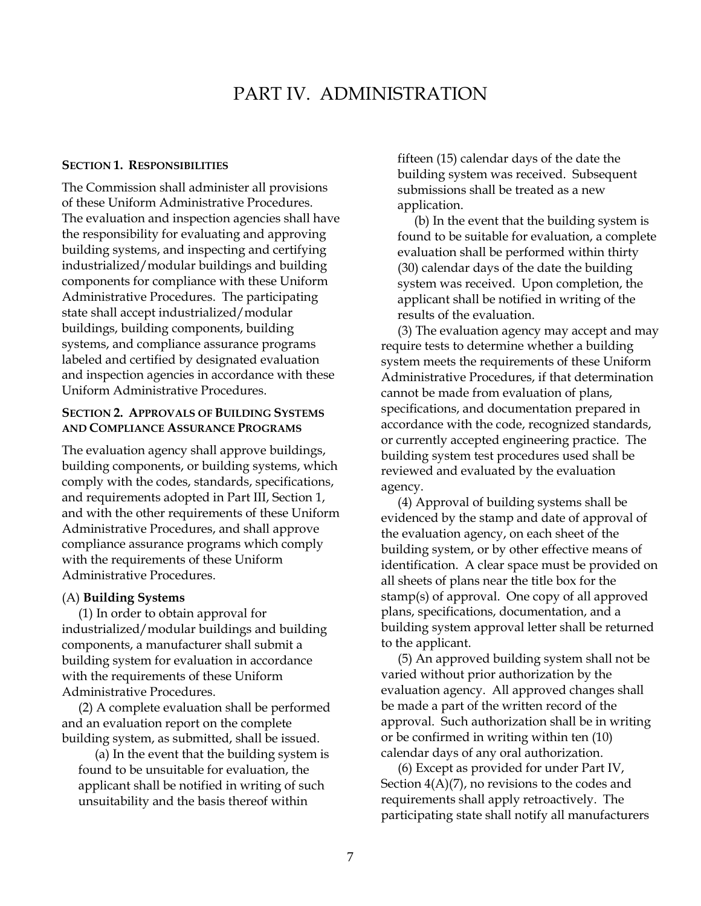# <span id="page-12-1"></span>PART IV. ADMINISTRATION

#### **SECTION 1. RESPONSIBILITIES**

The Commission shall administer all provisions of these Uniform Administrative Procedures. The evaluation and inspection agencies shall have the responsibility for evaluating and approving building systems, and inspecting and certifying industrialized/modular buildings and building components for compliance with these Uniform Administrative Procedures. The participating state shall accept industrialized/modular buildings, building components, building systems, and compliance assurance programs labeled and certified by designated evaluation and inspection agencies in accordance with these Uniform Administrative Procedures.

# **SECTION 2. APPROVALS OF BUILDING SYSTEMS AND COMPLIANCE ASSURANCE PROGRAMS**

The evaluation agency shall approve buildings, building components, or building systems, which comply with the codes, standards, specifications, and requirements adopted in Part III, Section 1, and with the other requirements of these Uniform Administrative Procedures, and shall approve compliance assurance programs which comply with the requirements of these Uniform Administrative Procedures.

#### <span id="page-12-3"></span>(A) **Building Systems**

(1) In order to obtain approval for industrialized/modular buildings and building components, a manufacturer shall submit a building system for evaluation in accordance with the requirements of these Uniform Administrative Procedures.

(2) A complete evaluation shall be performed and an evaluation report on the complete building system, as submitted, shall be issued.

(a) In the event that the building system is found to be unsuitable for evaluation, the applicant shall be notified in writing of such unsuitability and the basis thereof within

<span id="page-12-0"></span>fifteen (15) calendar days of the date the building system was received. Subsequent submissions shall be treated as a new application.

(b) In the event that the building system is found to be suitable for evaluation, a complete evaluation shall be performed within thirty (30) calendar days of the date the building system was received. Upon completion, the applicant shall be notified in writing of the results of the evaluation.

(3) The evaluation agency may accept and may require tests to determine whether a building system meets the requirements of these Uniform Administrative Procedures, if that determination cannot be made from evaluation of plans, specifications, and documentation prepared in accordance with the code, recognized standards, or currently accepted engineering practice. The building system test procedures used shall be reviewed and evaluated by the evaluation agency.

<span id="page-12-2"></span>(4) Approval of building systems shall be evidenced by the stamp and date of approval of the evaluation agency, on each sheet of the building system, or by other effective means of identification. A clear space must be provided on all sheets of plans near the title box for the stamp(s) of approval. One copy of all approved plans, specifications, documentation, and a building system approval letter shall be returned to the applicant.

(5) An approved building system shall not be varied without prior authorization by the evaluation agency. All approved changes shall be made a part of the written record of the approval. Such authorization shall be in writing or be confirmed in writing within ten (10) calendar days of any oral authorization.

(6) Except as provided for under Part IV, Section  $4(A)(7)$ , no revisions to the codes and requirements shall apply retroactively. The participating state shall notify all manufacturers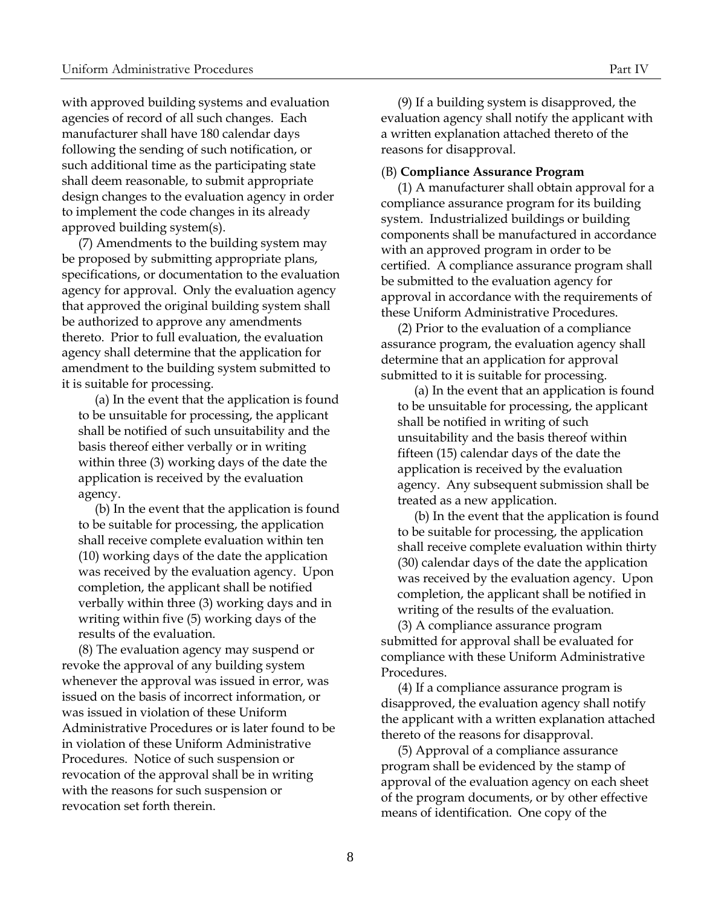with approved building systems and evaluation agencies of record of all such changes. Each manufacturer shall have 180 calendar days following the sending of such notification, or such additional time as the participating state shall deem reasonable, to submit appropriate design changes to the evaluation agency in order to implement the code changes in its already approved building system(s).

(7) Amendments to the building system may be proposed by submitting appropriate plans, specifications, or documentation to the evaluation agency for approval. Only the evaluation agency that approved the original building system shall be authorized to approve any amendments thereto. Prior to full evaluation, the evaluation agency shall determine that the application for amendment to the building system submitted to it is suitable for processing.

(a) In the event that the application is found to be unsuitable for processing, the applicant shall be notified of such unsuitability and the basis thereof either verbally or in writing within three (3) working days of the date the application is received by the evaluation agency.

(b) In the event that the application is found to be suitable for processing, the application shall receive complete evaluation within ten (10) working days of the date the application was received by the evaluation agency. Upon completion, the applicant shall be notified verbally within three (3) working days and in writing within five (5) working days of the results of the evaluation.

(8) The evaluation agency may suspend or revoke the approval of any building system whenever the approval was issued in error, was issued on the basis of incorrect information, or was issued in violation of these Uniform Administrative Procedures or is later found to be in violation of these Uniform Administrative Procedures. Notice of such suspension or revocation of the approval shall be in writing with the reasons for such suspension or revocation set forth therein.

(9) If a building system is disapproved, the evaluation agency shall notify the applicant with a written explanation attached thereto of the reasons for disapproval.

#### <span id="page-13-0"></span>(B) **Compliance Assurance Program**

(1) A manufacturer shall obtain approval for a compliance assurance program for its building system. Industrialized buildings or building components shall be manufactured in accordance with an approved program in order to be certified. A compliance assurance program shall be submitted to the evaluation agency for approval in accordance with the requirements of these Uniform Administrative Procedures.

(2) Prior to the evaluation of a compliance assurance program, the evaluation agency shall determine that an application for approval submitted to it is suitable for processing.

(a) In the event that an application is found to be unsuitable for processing, the applicant shall be notified in writing of such unsuitability and the basis thereof within fifteen (15) calendar days of the date the application is received by the evaluation agency. Any subsequent submission shall be treated as a new application.

(b) In the event that the application is found to be suitable for processing, the application shall receive complete evaluation within thirty (30) calendar days of the date the application was received by the evaluation agency. Upon completion, the applicant shall be notified in writing of the results of the evaluation.

(3) A compliance assurance program submitted for approval shall be evaluated for compliance with these Uniform Administrative Procedures.

(4) If a compliance assurance program is disapproved, the evaluation agency shall notify the applicant with a written explanation attached thereto of the reasons for disapproval.

(5) Approval of a compliance assurance program shall be evidenced by the stamp of approval of the evaluation agency on each sheet of the program documents, or by other effective means of identification. One copy of the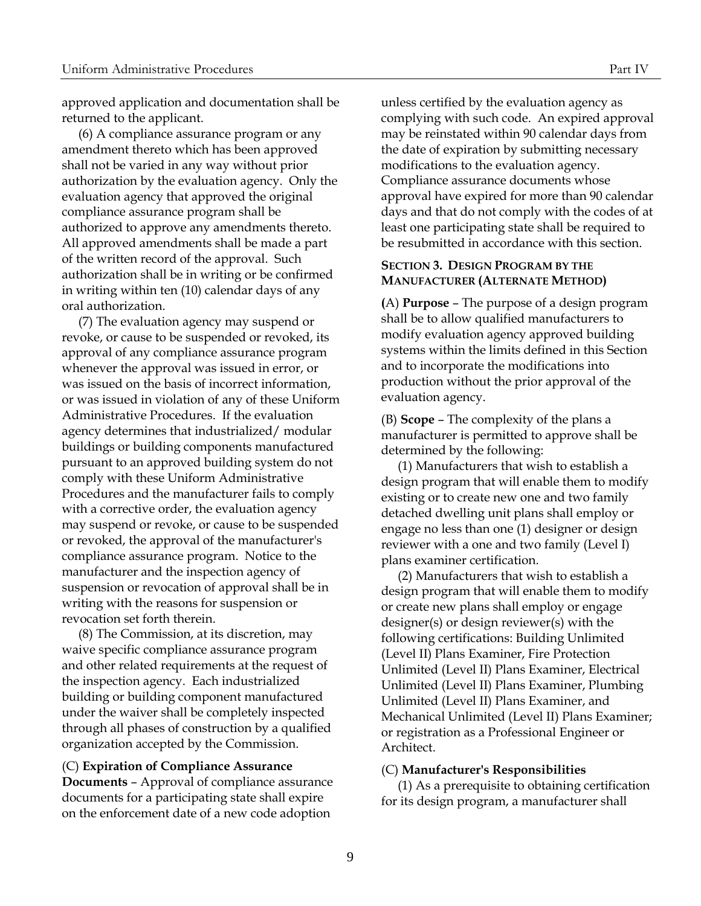approved application and documentation shall be returned to the applicant.

(6) A compliance assurance program or any amendment thereto which has been approved shall not be varied in any way without prior authorization by the evaluation agency. Only the evaluation agency that approved the original compliance assurance program shall be authorized to approve any amendments thereto. All approved amendments shall be made a part of the written record of the approval. Such authorization shall be in writing or be confirmed in writing within ten (10) calendar days of any oral authorization.

(7) The evaluation agency may suspend or revoke, or cause to be suspended or revoked, its approval of any compliance assurance program whenever the approval was issued in error, or was issued on the basis of incorrect information, or was issued in violation of any of these Uniform Administrative Procedures. If the evaluation agency determines that industrialized/ modular buildings or building components manufactured pursuant to an approved building system do not comply with these Uniform Administrative Procedures and the manufacturer fails to comply with a corrective order, the evaluation agency may suspend or revoke, or cause to be suspended or revoked, the approval of the manufacturer's compliance assurance program. Notice to the manufacturer and the inspection agency of suspension or revocation of approval shall be in writing with the reasons for suspension or revocation set forth therein.

(8) The Commission, at its discretion, may waive specific compliance assurance program and other related requirements at the request of the inspection agency. Each industrialized building or building component manufactured under the waiver shall be completely inspected through all phases of construction by a qualified organization accepted by the Commission.

#### (C) **Expiration of Compliance Assurance**

<span id="page-14-0"></span>**Documents** – Approval of compliance assurance documents for a participating state shall expire on the enforcement date of a new code adoption

unless certified by the evaluation agency as complying with such code. An expired approval may be reinstated within 90 calendar days from the date of expiration by submitting necessary modifications to the evaluation agency. Compliance assurance documents whose approval have expired for more than 90 calendar days and that do not comply with the codes of at least one participating state shall be required to be resubmitted in accordance with this section.

#### <span id="page-14-1"></span>**SECTION 3. DESIGN PROGRAM BY THE MANUFACTURER (ALTERNATE METHOD)**

<span id="page-14-2"></span>**(**A) **Purpose** – The purpose of a design program shall be to allow qualified manufacturers to modify evaluation agency approved building systems within the limits defined in this Section and to incorporate the modifications into production without the prior approval of the evaluation agency.

<span id="page-14-3"></span>(B) **Scope** – The complexity of the plans a manufacturer is permitted to approve shall be determined by the following:

(1) Manufacturers that wish to establish a design program that will enable them to modify existing or to create new one and two family detached dwelling unit plans shall employ or engage no less than one (1) designer or design reviewer with a one and two family (Level I) plans examiner certification.

(2) Manufacturers that wish to establish a design program that will enable them to modify or create new plans shall employ or engage designer(s) or design reviewer(s) with the following certifications: Building Unlimited (Level II) Plans Examiner, Fire Protection Unlimited (Level II) Plans Examiner, Electrical Unlimited (Level II) Plans Examiner, Plumbing Unlimited (Level II) Plans Examiner, and Mechanical Unlimited (Level II) Plans Examiner; or registration as a Professional Engineer or Architect.

#### <span id="page-14-4"></span>(C) **Manufacturer's Responsibilities**

(1) As a prerequisite to obtaining certification for its design program, a manufacturer shall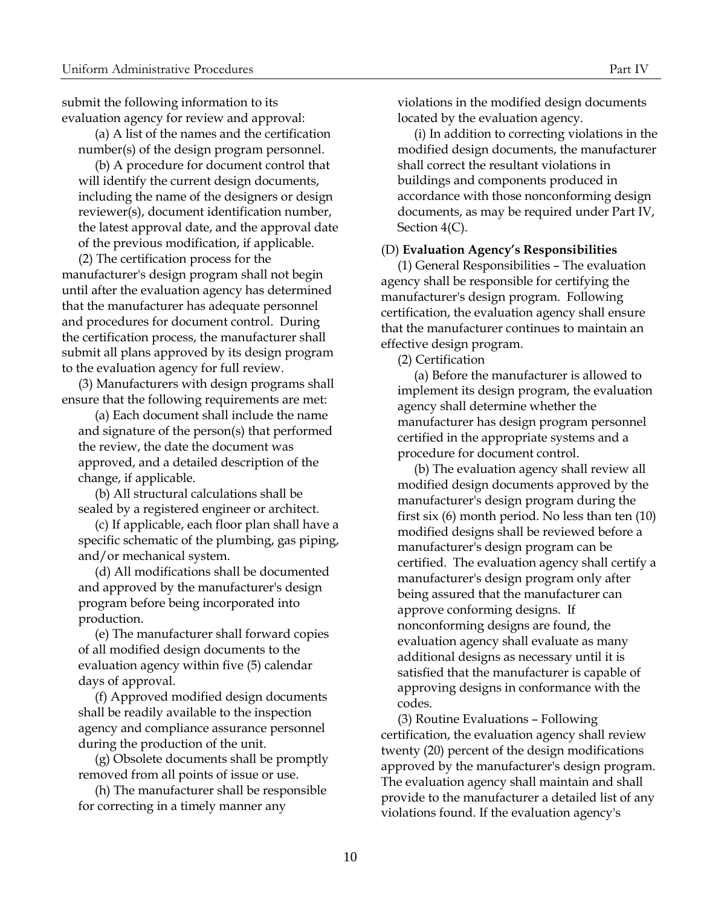submit the following information to its evaluation agency for review and approval:

(a) A list of the names and the certification number(s) of the design program personnel.

(b) A procedure for document control that will identify the current design documents, including the name of the designers or design reviewer(s), document identification number, the latest approval date, and the approval date of the previous modification, if applicable.

(2) The certification process for the manufacturer's design program shall not begin until after the evaluation agency has determined that the manufacturer has adequate personnel and procedures for document control. During the certification process, the manufacturer shall submit all plans approved by its design program to the evaluation agency for full review.

(3) Manufacturers with design programs shall ensure that the following requirements are met:

(a) Each document shall include the name and signature of the person(s) that performed the review, the date the document was approved, and a detailed description of the change, if applicable.

(b) All structural calculations shall be sealed by a registered engineer or architect.

(c) If applicable, each floor plan shall have a specific schematic of the plumbing, gas piping, and/or mechanical system.

(d) All modifications shall be documented and approved by the manufacturer's design program before being incorporated into production.

(e) The manufacturer shall forward copies of all modified design documents to the evaluation agency within five (5) calendar days of approval.

(f) Approved modified design documents shall be readily available to the inspection agency and compliance assurance personnel during the production of the unit.

(g) Obsolete documents shall be promptly removed from all points of issue or use.

(h) The manufacturer shall be responsible for correcting in a timely manner any

violations in the modified design documents located by the evaluation agency.

(i) In addition to correcting violations in the modified design documents, the manufacturer shall correct the resultant violations in buildings and components produced in accordance with those nonconforming design documents, as may be required under Part IV, Section 4(C).

#### <span id="page-15-0"></span>(D) **Evaluation Agency's Responsibilities**

(1) General Responsibilities – The evaluation agency shall be responsible for certifying the manufacturer's design program. Following certification, the evaluation agency shall ensure that the manufacturer continues to maintain an effective design program.

(2) Certification

(a) Before the manufacturer is allowed to implement its design program, the evaluation agency shall determine whether the manufacturer has design program personnel certified in the appropriate systems and a procedure for document control.

(b) The evaluation agency shall review all modified design documents approved by the manufacturer's design program during the first six (6) month period. No less than ten (10) modified designs shall be reviewed before a manufacturer's design program can be certified. The evaluation agency shall certify a manufacturer's design program only after being assured that the manufacturer can approve conforming designs. If nonconforming designs are found, the evaluation agency shall evaluate as many additional designs as necessary until it is satisfied that the manufacturer is capable of approving designs in conformance with the codes.

(3) Routine Evaluations – Following certification, the evaluation agency shall review twenty (20) percent of the design modifications approved by the manufacturer's design program. The evaluation agency shall maintain and shall provide to the manufacturer a detailed list of any violations found. If the evaluation agency's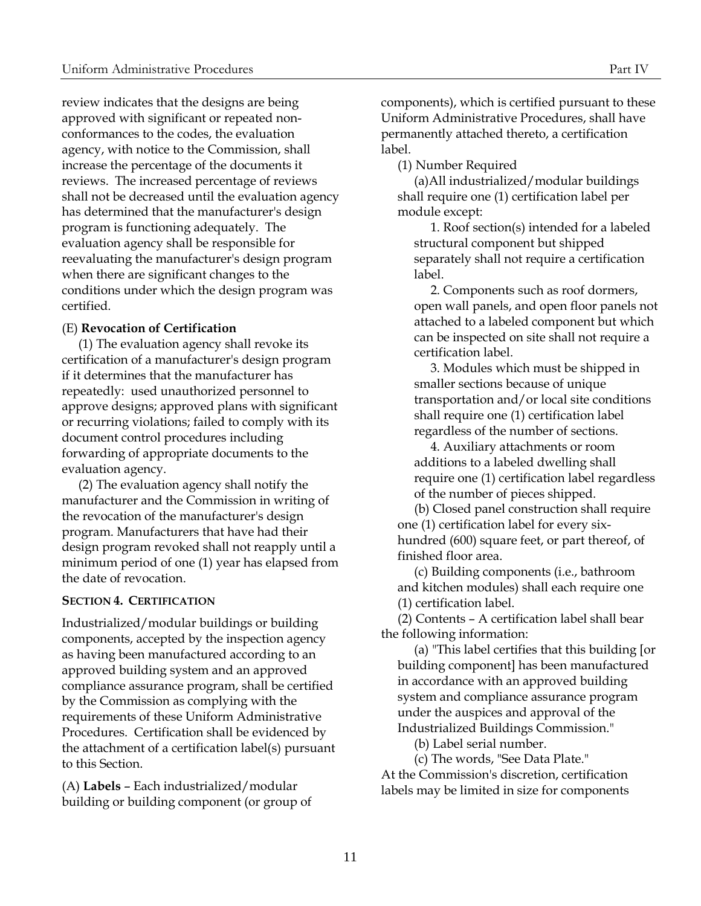review indicates that the designs are being approved with significant or repeated nonconformances to the codes, the evaluation agency, with notice to the Commission, shall increase the percentage of the documents it reviews. The increased percentage of reviews shall not be decreased until the evaluation agency has determined that the manufacturer's design program is functioning adequately. The evaluation agency shall be responsible for reevaluating the manufacturer's design program when there are significant changes to the conditions under which the design program was certified.

# <span id="page-16-0"></span>(E) **Revocation of Certification**

(1) The evaluation agency shall revoke its certification of a manufacturer's design program if it determines that the manufacturer has repeatedly: used unauthorized personnel to approve designs; approved plans with significant or recurring violations; failed to comply with its document control procedures including forwarding of appropriate documents to the evaluation agency.

(2) The evaluation agency shall notify the manufacturer and the Commission in writing of the revocation of the manufacturer's design program. Manufacturers that have had their design program revoked shall not reapply until a minimum period of one (1) year has elapsed from the date of revocation.

#### <span id="page-16-1"></span>**SECTION 4. CERTIFICATION**

Industrialized/modular buildings or building components, accepted by the inspection agency as having been manufactured according to an approved building system and an approved compliance assurance program, shall be certified by the Commission as complying with the requirements of these Uniform Administrative Procedures. Certification shall be evidenced by the attachment of a certification label(s) pursuant to this Section.

<span id="page-16-2"></span>(A) **Labels** – Each industrialized/modular building or building component (or group of components), which is certified pursuant to these Uniform Administrative Procedures, shall have permanently attached thereto, a certification label.

(1) Number Required

(a)All industrialized/modular buildings shall require one (1) certification label per module except:

1. Roof section(s) intended for a labeled structural component but shipped separately shall not require a certification label.

2. Components such as roof dormers, open wall panels, and open floor panels not attached to a labeled component but which can be inspected on site shall not require a certification label.

3. Modules which must be shipped in smaller sections because of unique transportation and/or local site conditions shall require one (1) certification label regardless of the number of sections.

4. Auxiliary attachments or room additions to a labeled dwelling shall require one (1) certification label regardless of the number of pieces shipped.

(b) Closed panel construction shall require one (1) certification label for every sixhundred (600) square feet, or part thereof, of finished floor area.

(c) Building components (i.e., bathroom and kitchen modules) shall each require one (1) certification label.

(2) Contents – A certification label shall bear the following information:

(a) "This label certifies that this building [or building component] has been manufactured in accordance with an approved building system and compliance assurance program under the auspices and approval of the Industrialized Buildings Commission."

(b) Label serial number.

(c) The words, "See Data Plate." At the Commission's discretion, certification labels may be limited in size for components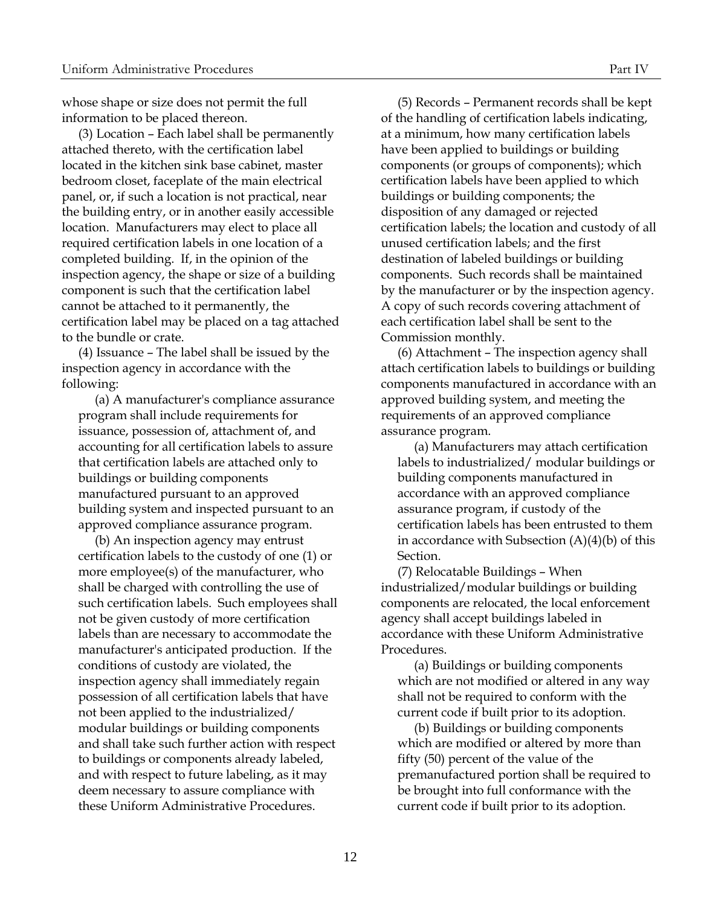whose shape or size does not permit the full information to be placed thereon.

(3) Location – Each label shall be permanently attached thereto, with the certification label located in the kitchen sink base cabinet, master bedroom closet, faceplate of the main electrical panel, or, if such a location is not practical, near the building entry, or in another easily accessible location. Manufacturers may elect to place all required certification labels in one location of a completed building. If, in the opinion of the inspection agency, the shape or size of a building component is such that the certification label cannot be attached to it permanently, the certification label may be placed on a tag attached to the bundle or crate.

(4) Issuance – The label shall be issued by the inspection agency in accordance with the following:

(a) A manufacturer's compliance assurance program shall include requirements for issuance, possession of, attachment of, and accounting for all certification labels to assure that certification labels are attached only to buildings or building components manufactured pursuant to an approved building system and inspected pursuant to an approved compliance assurance program.

(b) An inspection agency may entrust certification labels to the custody of one (1) or more employee(s) of the manufacturer, who shall be charged with controlling the use of such certification labels. Such employees shall not be given custody of more certification labels than are necessary to accommodate the manufacturer's anticipated production. If the conditions of custody are violated, the inspection agency shall immediately regain possession of all certification labels that have not been applied to the industrialized/ modular buildings or building components and shall take such further action with respect to buildings or components already labeled, and with respect to future labeling, as it may deem necessary to assure compliance with these Uniform Administrative Procedures.

(5) Records – Permanent records shall be kept of the handling of certification labels indicating, at a minimum, how many certification labels have been applied to buildings or building components (or groups of components); which certification labels have been applied to which buildings or building components; the disposition of any damaged or rejected certification labels; the location and custody of all unused certification labels; and the first destination of labeled buildings or building components. Such records shall be maintained by the manufacturer or by the inspection agency. A copy of such records covering attachment of each certification label shall be sent to the Commission monthly.

(6) Attachment – The inspection agency shall attach certification labels to buildings or building components manufactured in accordance with an approved building system, and meeting the requirements of an approved compliance assurance program.

(a) Manufacturers may attach certification labels to industrialized/ modular buildings or building components manufactured in accordance with an approved compliance assurance program, if custody of the certification labels has been entrusted to them in accordance with Subsection  $(A)(4)(b)$  of this Section.

(7) Relocatable Buildings – When industrialized/modular buildings or building components are relocated, the local enforcement agency shall accept buildings labeled in accordance with these Uniform Administrative Procedures.

(a) Buildings or building components which are not modified or altered in any way shall not be required to conform with the current code if built prior to its adoption.

(b) Buildings or building components which are modified or altered by more than fifty (50) percent of the value of the premanufactured portion shall be required to be brought into full conformance with the current code if built prior to its adoption.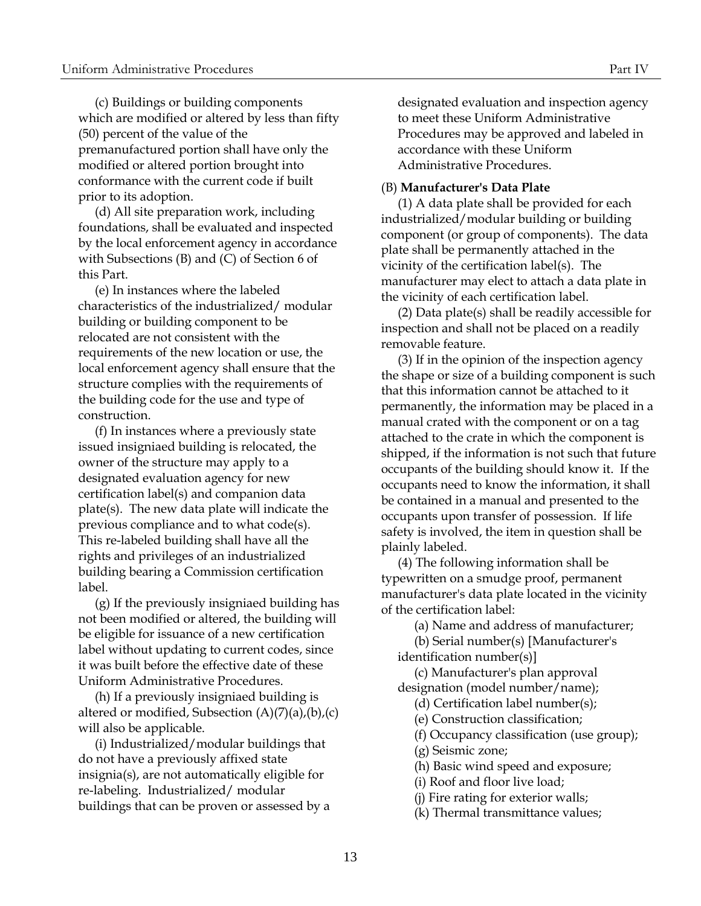(c) Buildings or building components which are modified or altered by less than fifty (50) percent of the value of the premanufactured portion shall have only the modified or altered portion brought into conformance with the current code if built

prior to its adoption. (d) All site preparation work, including foundations, shall be evaluated and inspected by the local enforcement agency in accordance with Subsections (B) and (C) of Section 6 of this Part.

(e) In instances where the labeled characteristics of the industrialized/ modular building or building component to be relocated are not consistent with the requirements of the new location or use, the local enforcement agency shall ensure that the structure complies with the requirements of the building code for the use and type of construction.

(f) In instances where a previously state issued insigniaed building is relocated, the owner of the structure may apply to a designated evaluation agency for new certification label(s) and companion data plate(s). The new data plate will indicate the previous compliance and to what code(s). This re-labeled building shall have all the rights and privileges of an industrialized building bearing a Commission certification label.

(g) If the previously insigniaed building has not been modified or altered, the building will be eligible for issuance of a new certification label without updating to current codes, since it was built before the effective date of these Uniform Administrative Procedures.

(h) If a previously insigniaed building is altered or modified, Subsection  $(A)(7)(a)$ , $(b)$ , $(c)$ will also be applicable.

(i) Industrialized/modular buildings that do not have a previously affixed state insignia(s), are not automatically eligible for re-labeling. Industrialized/ modular buildings that can be proven or assessed by a designated evaluation and inspection agency to meet these Uniform Administrative Procedures may be approved and labeled in accordance with these Uniform Administrative Procedures.

#### <span id="page-18-0"></span>(B) **Manufacturer's Data Plate**

(1) A data plate shall be provided for each industrialized/modular building or building component (or group of components). The data plate shall be permanently attached in the vicinity of the certification label(s). The manufacturer may elect to attach a data plate in the vicinity of each certification label.

(2) Data plate(s) shall be readily accessible for inspection and shall not be placed on a readily removable feature.

(3) If in the opinion of the inspection agency the shape or size of a building component is such that this information cannot be attached to it permanently, the information may be placed in a manual crated with the component or on a tag attached to the crate in which the component is shipped, if the information is not such that future occupants of the building should know it. If the occupants need to know the information, it shall be contained in a manual and presented to the occupants upon transfer of possession. If life safety is involved, the item in question shall be plainly labeled.

(4) The following information shall be typewritten on a smudge proof, permanent manufacturer's data plate located in the vicinity of the certification label:

(a) Name and address of manufacturer;

(b) Serial number(s) [Manufacturer's identification number(s)]

(c) Manufacturer's plan approval designation (model number/name);

(d) Certification label number(s);

(e) Construction classification;

- (f) Occupancy classification (use group);
- (g) Seismic zone;

(h) Basic wind speed and exposure;

(i) Roof and floor live load;

(j) Fire rating for exterior walls;

(k) Thermal transmittance values;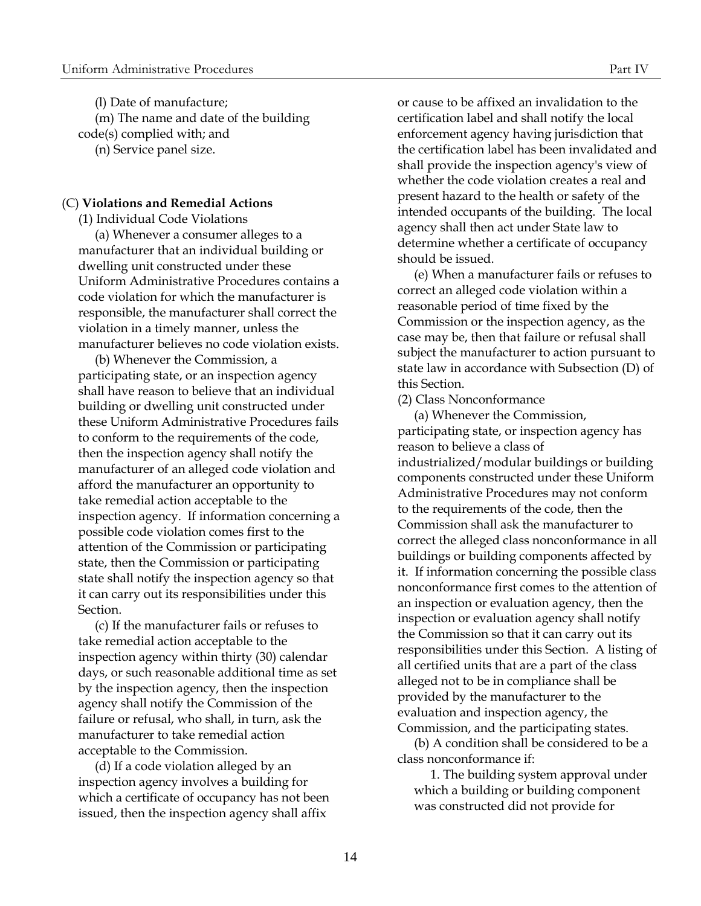(l) Date of manufacture; (m) The name and date of the building code(s) complied with; and (n) Service panel size.

#### (C) **Violations and Remedial Actions**

(1) Individual Code Violations (a) Whenever a consumer alleges to a manufacturer that an individual building or dwelling unit constructed under these Uniform Administrative Procedures contains a code violation for which the manufacturer is responsible, the manufacturer shall correct the violation in a timely manner, unless the manufacturer believes no code violation exists.

(b) Whenever the Commission, a participating state, or an inspection agency shall have reason to believe that an individual building or dwelling unit constructed under these Uniform Administrative Procedures fails to conform to the requirements of the code, then the inspection agency shall notify the manufacturer of an alleged code violation and afford the manufacturer an opportunity to take remedial action acceptable to the inspection agency. If information concerning a possible code violation comes first to the attention of the Commission or participating state, then the Commission or participating state shall notify the inspection agency so that it can carry out its responsibilities under this Section.

(c) If the manufacturer fails or refuses to take remedial action acceptable to the inspection agency within thirty (30) calendar days, or such reasonable additional time as set by the inspection agency, then the inspection agency shall notify the Commission of the failure or refusal, who shall, in turn, ask the manufacturer to take remedial action acceptable to the Commission.

(d) If a code violation alleged by an inspection agency involves a building for which a certificate of occupancy has not been issued, then the inspection agency shall affix

or cause to be affixed an invalidation to the certification label and shall notify the local enforcement agency having jurisdiction that the certification label has been invalidated and shall provide the inspection agency's view of whether the code violation creates a real and present hazard to the health or safety of the intended occupants of the building. The local agency shall then act under State law to determine whether a certificate of occupancy should be issued.

<span id="page-19-0"></span>(e) When a manufacturer fails or refuses to correct an alleged code violation within a reasonable period of time fixed by the Commission or the inspection agency, as the case may be, then that failure or refusal shall subject the manufacturer to action pursuant to state law in accordance with Subsection (D) of this Section.

(2) Class Nonconformance

(a) Whenever the Commission, participating state, or inspection agency has reason to believe a class of industrialized/modular buildings or building components constructed under these Uniform Administrative Procedures may not conform to the requirements of the code, then the Commission shall ask the manufacturer to correct the alleged class nonconformance in all buildings or building components affected by it. If information concerning the possible class nonconformance first comes to the attention of an inspection or evaluation agency, then the inspection or evaluation agency shall notify the Commission so that it can carry out its responsibilities under this Section. A listing of all certified units that are a part of the class alleged not to be in compliance shall be provided by the manufacturer to the evaluation and inspection agency, the Commission, and the participating states.

(b) A condition shall be considered to be a class nonconformance if:

1. The building system approval under which a building or building component was constructed did not provide for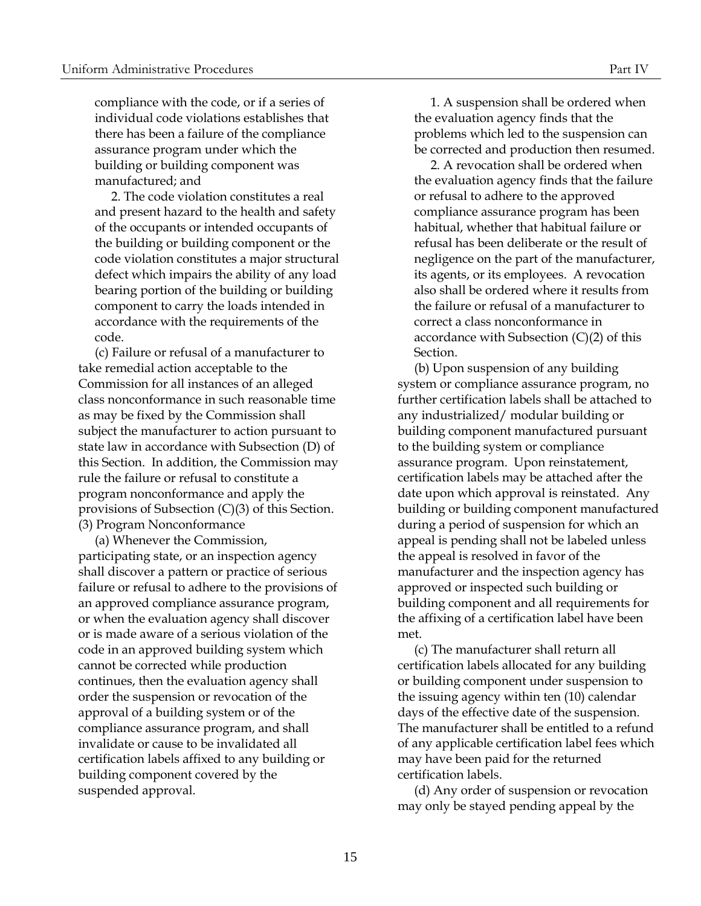compliance with the code, or if a series of individual code violations establishes that there has been a failure of the compliance assurance program under which the building or building component was manufactured; and

2. The code violation constitutes a real and present hazard to the health and safety of the occupants or intended occupants of the building or building component or the code violation constitutes a major structural defect which impairs the ability of any load bearing portion of the building or building component to carry the loads intended in accordance with the requirements of the code.

(c) Failure or refusal of a manufacturer to take remedial action acceptable to the Commission for all instances of an alleged class nonconformance in such reasonable time as may be fixed by the Commission shall subject the manufacturer to action pursuant to state law in accordance with Subsection (D) of this Section. In addition, the Commission may rule the failure or refusal to constitute a program nonconformance and apply the provisions of Subsection (C)(3) of this Section. (3) Program Nonconformance

(a) Whenever the Commission, participating state, or an inspection agency shall discover a pattern or practice of serious failure or refusal to adhere to the provisions of an approved compliance assurance program, or when the evaluation agency shall discover or is made aware of a serious violation of the code in an approved building system which cannot be corrected while production continues, then the evaluation agency shall order the suspension or revocation of the approval of a building system or of the compliance assurance program, and shall invalidate or cause to be invalidated all certification labels affixed to any building or building component covered by the suspended approval.

1. A suspension shall be ordered when the evaluation agency finds that the problems which led to the suspension can be corrected and production then resumed.

2. A revocation shall be ordered when the evaluation agency finds that the failure or refusal to adhere to the approved compliance assurance program has been habitual, whether that habitual failure or refusal has been deliberate or the result of negligence on the part of the manufacturer, its agents, or its employees. A revocation also shall be ordered where it results from the failure or refusal of a manufacturer to correct a class nonconformance in accordance with Subsection (C)(2) of this Section.

(b) Upon suspension of any building system or compliance assurance program, no further certification labels shall be attached to any industrialized/ modular building or building component manufactured pursuant to the building system or compliance assurance program. Upon reinstatement, certification labels may be attached after the date upon which approval is reinstated. Any building or building component manufactured during a period of suspension for which an appeal is pending shall not be labeled unless the appeal is resolved in favor of the manufacturer and the inspection agency has approved or inspected such building or building component and all requirements for the affixing of a certification label have been met.

(c) The manufacturer shall return all certification labels allocated for any building or building component under suspension to the issuing agency within ten (10) calendar days of the effective date of the suspension. The manufacturer shall be entitled to a refund of any applicable certification label fees which may have been paid for the returned certification labels.

(d) Any order of suspension or revocation may only be stayed pending appeal by the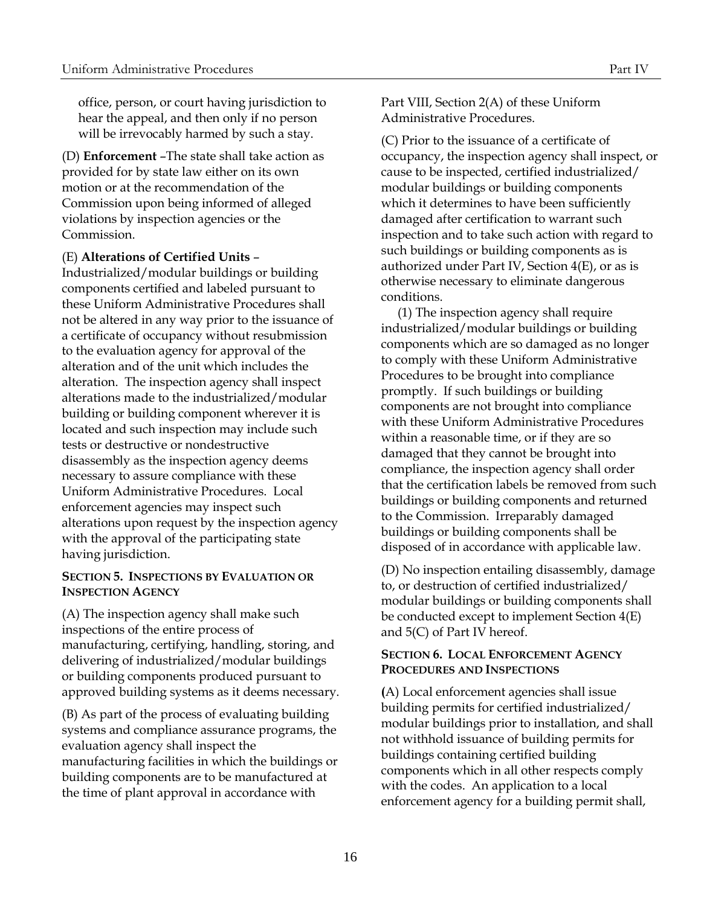<span id="page-21-0"></span>office, person, or court having jurisdiction to hear the appeal, and then only if no person will be irrevocably harmed by such a stay.

(D) **Enforcement** –The state shall take action as provided for by state law either on its own motion or at the recommendation of the Commission upon being informed of alleged violations by inspection agencies or the Commission.

# (E) **Alterations of Certified Units** –

Industrialized/modular buildings or building components certified and labeled pursuant to these Uniform Administrative Procedures shall not be altered in any way prior to the issuance of a certificate of occupancy without resubmission to the evaluation agency for approval of the alteration and of the unit which includes the alteration. The inspection agency shall inspect alterations made to the industrialized/modular building or building component wherever it is located and such inspection may include such tests or destructive or nondestructive disassembly as the inspection agency deems necessary to assure compliance with these Uniform Administrative Procedures. Local enforcement agencies may inspect such alterations upon request by the inspection agency with the approval of the participating state having jurisdiction.

# <span id="page-21-2"></span>**SECTION 5. INSPECTIONS BY EVALUATION OR INSPECTION AGENCY**

(A) The inspection agency shall make such inspections of the entire process of manufacturing, certifying, handling, storing, and delivering of industrialized/modular buildings or building components produced pursuant to approved building systems as it deems necessary.

(B) As part of the process of evaluating building systems and compliance assurance programs, the evaluation agency shall inspect the manufacturing facilities in which the buildings or building components are to be manufactured at the time of plant approval in accordance with

Part VIII, Section 2(A) of these Uniform Administrative Procedures.

(C) Prior to the issuance of a certificate of occupancy, the inspection agency shall inspect, or cause to be inspected, certified industrialized/ modular buildings or building components which it determines to have been sufficiently damaged after certification to warrant such inspection and to take such action with regard to such buildings or building components as is authorized under Part IV, Section 4(E), or as is otherwise necessary to eliminate dangerous conditions.

<span id="page-21-1"></span>(1) The inspection agency shall require industrialized/modular buildings or building components which are so damaged as no longer to comply with these Uniform Administrative Procedures to be brought into compliance promptly. If such buildings or building components are not brought into compliance with these Uniform Administrative Procedures within a reasonable time, or if they are so damaged that they cannot be brought into compliance, the inspection agency shall order that the certification labels be removed from such buildings or building components and returned to the Commission. Irreparably damaged buildings or building components shall be disposed of in accordance with applicable law.

(D) No inspection entailing disassembly, damage to, or destruction of certified industrialized/ modular buildings or building components shall be conducted except to implement Section 4(E) and 5(C) of Part IV hereof.

# <span id="page-21-3"></span>**SECTION 6. LOCAL ENFORCEMENT AGENCY PROCEDURES AND INSPECTIONS**

**(**A) Local enforcement agencies shall issue building permits for certified industrialized/ modular buildings prior to installation, and shall not withhold issuance of building permits for buildings containing certified building components which in all other respects comply with the codes. An application to a local enforcement agency for a building permit shall,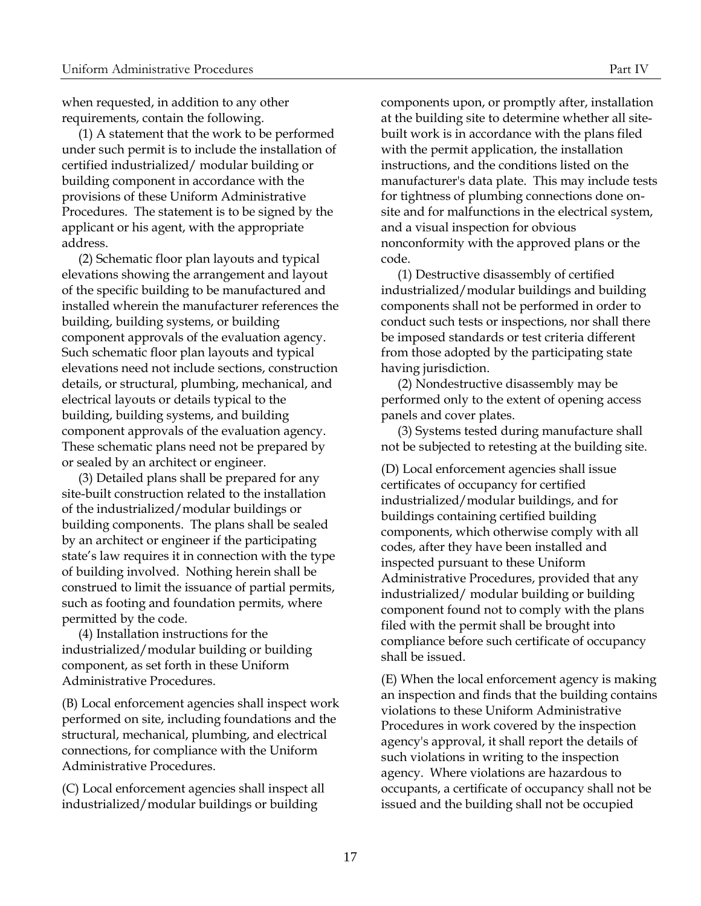when requested, in addition to any other requirements, contain the following.

(1) A statement that the work to be performed under such permit is to include the installation of certified industrialized/ modular building or building component in accordance with the provisions of these Uniform Administrative Procedures. The statement is to be signed by the applicant or his agent, with the appropriate address.

(2) Schematic floor plan layouts and typical elevations showing the arrangement and layout of the specific building to be manufactured and installed wherein the manufacturer references the building, building systems, or building component approvals of the evaluation agency. Such schematic floor plan layouts and typical elevations need not include sections, construction details, or structural, plumbing, mechanical, and electrical layouts or details typical to the building, building systems, and building component approvals of the evaluation agency. These schematic plans need not be prepared by or sealed by an architect or engineer.

(3) Detailed plans shall be prepared for any site-built construction related to the installation of the industrialized/modular buildings or building components. The plans shall be sealed by an architect or engineer if the participating state's law requires it in connection with the type of building involved. Nothing herein shall be construed to limit the issuance of partial permits, such as footing and foundation permits, where permitted by the code.

(4) Installation instructions for the industrialized/modular building or building component, as set forth in these Uniform Administrative Procedures.

(B) Local enforcement agencies shall inspect work performed on site, including foundations and the structural, mechanical, plumbing, and electrical connections, for compliance with the Uniform Administrative Procedures.

(C) Local enforcement agencies shall inspect all industrialized/modular buildings or building

components upon, or promptly after, installation at the building site to determine whether all sitebuilt work is in accordance with the plans filed with the permit application, the installation instructions, and the conditions listed on the manufacturer's data plate. This may include tests for tightness of plumbing connections done onsite and for malfunctions in the electrical system, and a visual inspection for obvious nonconformity with the approved plans or the code.

(1) Destructive disassembly of certified industrialized/modular buildings and building components shall not be performed in order to conduct such tests or inspections, nor shall there be imposed standards or test criteria different from those adopted by the participating state having jurisdiction.

(2) Nondestructive disassembly may be performed only to the extent of opening access panels and cover plates.

(3) Systems tested during manufacture shall not be subjected to retesting at the building site.

(D) Local enforcement agencies shall issue certificates of occupancy for certified industrialized/modular buildings, and for buildings containing certified building components, which otherwise comply with all codes, after they have been installed and inspected pursuant to these Uniform Administrative Procedures, provided that any industrialized/ modular building or building component found not to comply with the plans filed with the permit shall be brought into compliance before such certificate of occupancy shall be issued.

(E) When the local enforcement agency is making an inspection and finds that the building contains violations to these Uniform Administrative Procedures in work covered by the inspection agency's approval, it shall report the details of such violations in writing to the inspection agency. Where violations are hazardous to occupants, a certificate of occupancy shall not be issued and the building shall not be occupied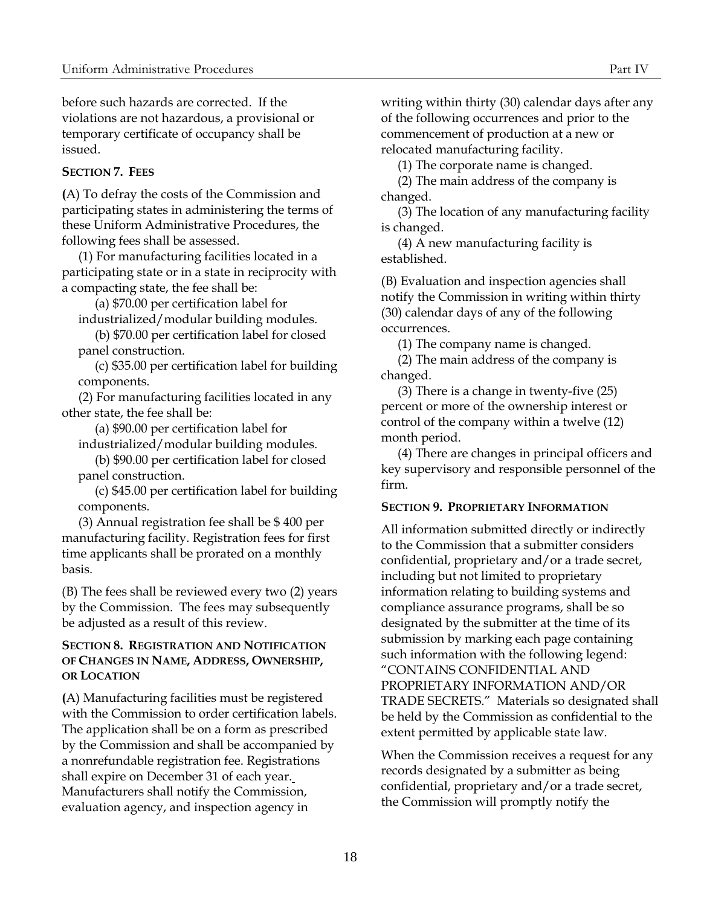before such hazards are corrected. If the violations are not hazardous, a provisional or temporary certificate of occupancy shall be issued.

# <span id="page-23-0"></span>**SECTION 7. FEES**

**(**A) To defray the costs of the Commission and participating states in administering the terms of these Uniform Administrative Procedures, the following fees shall be assessed.

(1) For manufacturing facilities located in a participating state or in a state in reciprocity with a compacting state, the fee shall be:

(a) \$70.00 per certification label for industrialized/modular building modules.

(b) \$70.00 per certification label for closed panel construction.

(c) \$35.00 per certification label for building components.

(2) For manufacturing facilities located in any other state, the fee shall be:

(a) \$90.00 per certification label for

industrialized/modular building modules.

(b) \$90.00 per certification label for closed panel construction.

(c) \$45.00 per certification label for building components.

(3) Annual registration fee shall be \$ 400 per manufacturing facility. Registration fees for first time applicants shall be prorated on a monthly basis.

(B) The fees shall be reviewed every two (2) years by the Commission. The fees may subsequently be adjusted as a result of this review.

# **SECTION 8. REGISTRATION AND NOTIFICATION OF CHANGES IN NAME, ADDRESS, OWNERSHIP, OR LOCATION**

<span id="page-23-1"></span>**(**A) Manufacturing facilities must be registered with the Commission to order certification labels. The application shall be on a form as prescribed by the Commission and shall be accompanied by a nonrefundable registration fee. Registrations shall expire on December 31 of each year. Manufacturers shall notify the Commission, evaluation agency, and inspection agency in

writing within thirty (30) calendar days after any of the following occurrences and prior to the commencement of production at a new or relocated manufacturing facility.

(1) The corporate name is changed.

(2) The main address of the company is changed.

(3) The location of any manufacturing facility is changed.

(4) A new manufacturing facility is established.

(B) Evaluation and inspection agencies shall notify the Commission in writing within thirty (30) calendar days of any of the following occurrences.

(1) The company name is changed.

(2) The main address of the company is changed.

(3) There is a change in twenty-five (25) percent or more of the ownership interest or control of the company within a twelve (12) month period.

(4) There are changes in principal officers and key supervisory and responsible personnel of the firm.

# <span id="page-23-2"></span>**SECTION 9. PROPRIETARY INFORMATION**

All information submitted directly or indirectly to the Commission that a submitter considers confidential, proprietary and/or a trade secret, including but not limited to proprietary information relating to building systems and compliance assurance programs, shall be so designated by the submitter at the time of its submission by marking each page containing such information with the following legend: "CONTAINS CONFIDENTIAL AND PROPRIETARY INFORMATION AND/OR TRADE SECRETS." Materials so designated shall be held by the Commission as confidential to the extent permitted by applicable state law.

When the Commission receives a request for any records designated by a submitter as being confidential, proprietary and/or a trade secret, the Commission will promptly notify the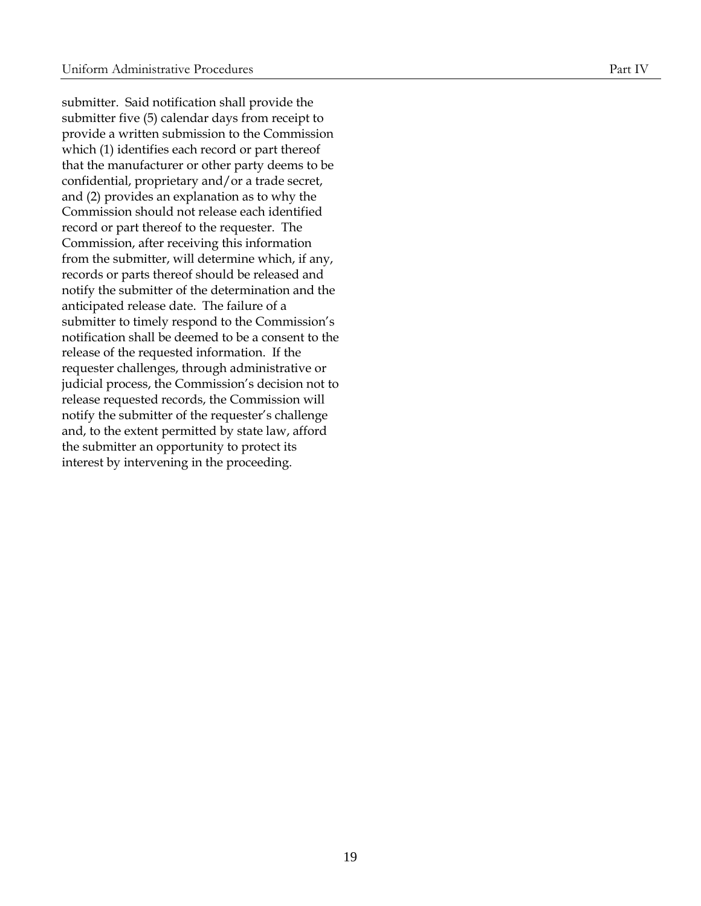submitter. Said notification shall provide the submitter five (5) calendar days from receipt to provide a written submission to the Commission which (1) identifies each record or part thereof that the manufacturer or other party deems to be confidential, proprietary and/or a trade secret, and (2) provides an explanation as to why the Commission should not release each identified record or part thereof to the requester. The Commission, after receiving this information from the submitter, will determine which, if any, records or parts thereof should be released and notify the submitter of the determination and the anticipated release date. The failure of a submitter to timely respond to the Commission's notification shall be deemed to be a consent to the release of the requested information. If the requester challenges, through administrative or judicial process, the Commission's decision not to release requested records, the Commission will notify the submitter of the requester's challenge and, to the extent permitted by state law, afford the submitter an opportunity to protect its interest by intervening in the proceeding.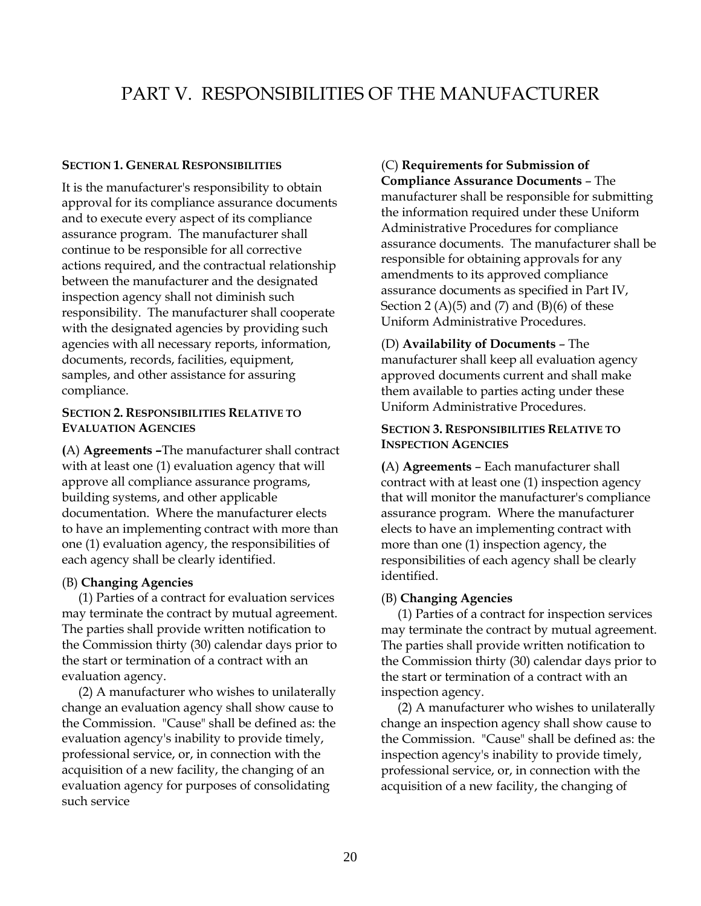# PART V. RESPONSIBILITIES OF THE MANUFACTURER

#### **SECTION 1. GENERAL RESPONSIBILITIES**

It is the manufacturer's responsibility to obtain approval for its compliance assurance documents and to execute every aspect of its compliance assurance program. The manufacturer shall continue to be responsible for all corrective actions required, and the contractual relationship between the manufacturer and the designated inspection agency shall not diminish such responsibility. The manufacturer shall cooperate with the designated agencies by providing such agencies with all necessary reports, information, documents, records, facilities, equipment, samples, and other assistance for assuring compliance.

# <span id="page-25-2"></span>**SECTION 2. RESPONSIBILITIES RELATIVE TO EVALUATION AGENCIES**

<span id="page-25-3"></span>**(**A) **Agreements –**The manufacturer shall contract with at least one (1) evaluation agency that will approve all compliance assurance programs, building systems, and other applicable documentation. Where the manufacturer elects to have an implementing contract with more than one (1) evaluation agency, the responsibilities of each agency shall be clearly identified.

# <span id="page-25-4"></span>(B) **Changing Agencies**

(1) Parties of a contract for evaluation services may terminate the contract by mutual agreement. The parties shall provide written notification to the Commission thirty (30) calendar days prior to the start or termination of a contract with an evaluation agency.

(2) A manufacturer who wishes to unilaterally change an evaluation agency shall show cause to the Commission. "Cause" shall be defined as: the evaluation agency's inability to provide timely, professional service, or, in connection with the acquisition of a new facility, the changing of an evaluation agency for purposes of consolidating such service

# <span id="page-25-5"></span><span id="page-25-1"></span><span id="page-25-0"></span>(C) **Requirements for Submission of**

**Compliance Assurance Documents** – The manufacturer shall be responsible for submitting the information required under these Uniform Administrative Procedures for compliance assurance documents. The manufacturer shall be responsible for obtaining approvals for any amendments to its approved compliance assurance documents as specified in Part IV, Section 2  $(A)(5)$  and  $(7)$  and  $(B)(6)$  of these Uniform Administrative Procedures.

<span id="page-25-6"></span>(D) **Availability of Documents** – The manufacturer shall keep all evaluation agency approved documents current and shall make them available to parties acting under these Uniform Administrative Procedures.

# <span id="page-25-7"></span>**SECTION 3. RESPONSIBILITIES RELATIVE TO INSPECTION AGENCIES**

<span id="page-25-8"></span>**(**A) **Agreements** – Each manufacturer shall contract with at least one (1) inspection agency that will monitor the manufacturer's compliance assurance program. Where the manufacturer elects to have an implementing contract with more than one (1) inspection agency, the responsibilities of each agency shall be clearly identified.

# <span id="page-25-9"></span>(B) **Changing Agencies**

(1) Parties of a contract for inspection services may terminate the contract by mutual agreement. The parties shall provide written notification to the Commission thirty (30) calendar days prior to the start or termination of a contract with an inspection agency.

(2) A manufacturer who wishes to unilaterally change an inspection agency shall show cause to the Commission. "Cause" shall be defined as: the inspection agency's inability to provide timely, professional service, or, in connection with the acquisition of a new facility, the changing of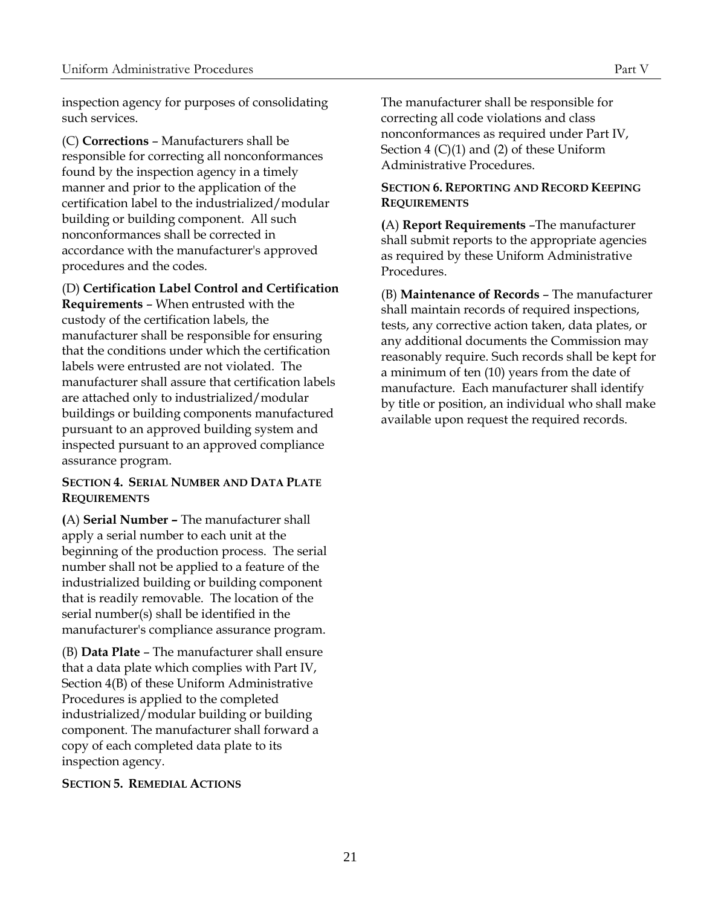inspection agency for purposes of consolidating such services.

<span id="page-26-0"></span>(C) **Corrections** – Manufacturers shall be responsible for correcting all nonconformances found by the inspection agency in a timely manner and prior to the application of the certification label to the industrialized/modular building or building component. All such nonconformances shall be corrected in accordance with the manufacturer's approved procedures and the codes.

(D) **Certification Label Control and Certification** 

<span id="page-26-1"></span>**Requirements** – When entrusted with the custody of the certification labels, the manufacturer shall be responsible for ensuring that the conditions under which the certification labels were entrusted are not violated. The manufacturer shall assure that certification labels are attached only to industrialized/modular buildings or building components manufactured pursuant to an approved building system and inspected pursuant to an approved compliance assurance program.

# <span id="page-26-2"></span>**SECTION 4. SERIAL NUMBER AND DATA PLATE REQUIREMENTS**

<span id="page-26-3"></span>**(**A) **Serial Number –** The manufacturer shall apply a serial number to each unit at the beginning of the production process. The serial number shall not be applied to a feature of the industrialized building or building component that is readily removable. The location of the serial number(s) shall be identified in the manufacturer's compliance assurance program.

<span id="page-26-4"></span>(B) **Data Plate** – The manufacturer shall ensure that a data plate which complies with Part IV, Section 4(B) of these Uniform Administrative Procedures is applied to the completed industrialized/modular building or building component. The manufacturer shall forward a copy of each completed data plate to its inspection agency.

# <span id="page-26-5"></span>**SECTION 5. REMEDIAL ACTIONS**

The manufacturer shall be responsible for correcting all code violations and class nonconformances as required under Part IV, Section 4 (C)(1) and (2) of these Uniform Administrative Procedures.

# <span id="page-26-6"></span>**SECTION 6. REPORTING AND RECORD KEEPING REQUIREMENTS**

<span id="page-26-7"></span>**(**A) **Report Requirements** –The manufacturer shall submit reports to the appropriate agencies as required by these Uniform Administrative Procedures.

<span id="page-26-8"></span>(B) **Maintenance of Records** – The manufacturer shall maintain records of required inspections, tests, any corrective action taken, data plates, or any additional documents the Commission may reasonably require. Such records shall be kept for a minimum of ten (10) years from the date of manufacture. Each manufacturer shall identify by title or position, an individual who shall make available upon request the required records.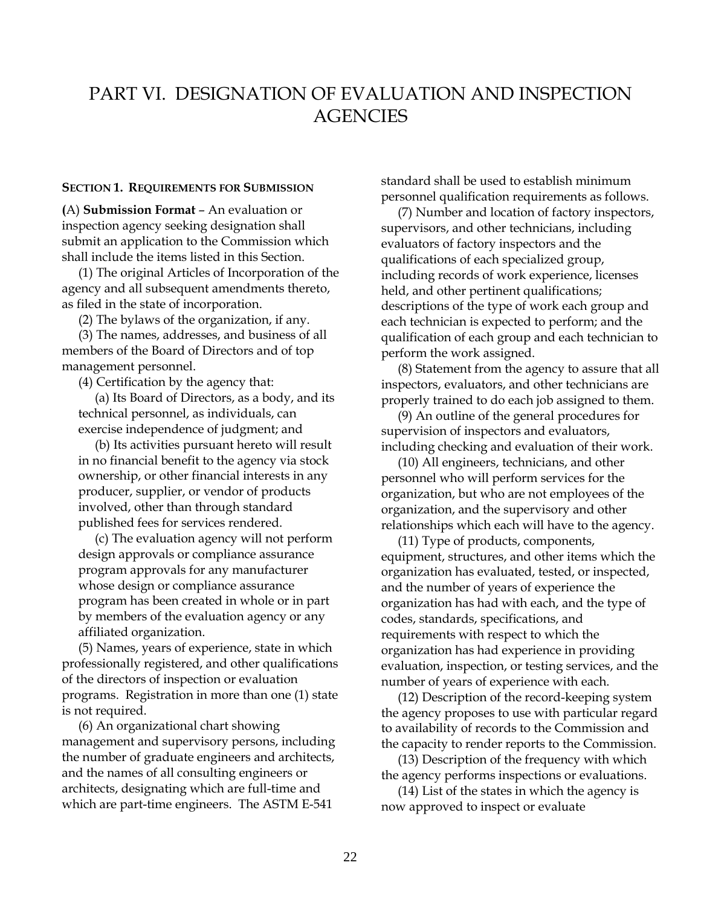# PART VI. DESIGNATION OF EVALUATION AND INSPECTION **AGENCIES**

#### **SECTION 1. REQUIREMENTS FOR SUBMISSION**

<span id="page-27-2"></span>**(**A) **Submission Format** – An evaluation or inspection agency seeking designation shall submit an application to the Commission which shall include the items listed in this Section.

(1) The original Articles of Incorporation of the agency and all subsequent amendments thereto, as filed in the state of incorporation.

(2) The bylaws of the organization, if any.

(3) The names, addresses, and business of all members of the Board of Directors and of top management personnel.

(4) Certification by the agency that:

(a) Its Board of Directors, as a body, and its technical personnel, as individuals, can exercise independence of judgment; and

(b) Its activities pursuant hereto will result in no financial benefit to the agency via stock ownership, or other financial interests in any producer, supplier, or vendor of products involved, other than through standard published fees for services rendered.

(c) The evaluation agency will not perform design approvals or compliance assurance program approvals for any manufacturer whose design or compliance assurance program has been created in whole or in part by members of the evaluation agency or any affiliated organization.

(5) Names, years of experience, state in which professionally registered, and other qualifications of the directors of inspection or evaluation programs. Registration in more than one (1) state is not required.

(6) An organizational chart showing management and supervisory persons, including the number of graduate engineers and architects, and the names of all consulting engineers or architects, designating which are full-time and which are part-time engineers. The ASTM E-541

<span id="page-27-1"></span><span id="page-27-0"></span>standard shall be used to establish minimum personnel qualification requirements as follows.

(7) Number and location of factory inspectors, supervisors, and other technicians, including evaluators of factory inspectors and the qualifications of each specialized group, including records of work experience, licenses held, and other pertinent qualifications; descriptions of the type of work each group and each technician is expected to perform; and the qualification of each group and each technician to perform the work assigned.

(8) Statement from the agency to assure that all inspectors, evaluators, and other technicians are properly trained to do each job assigned to them.

(9) An outline of the general procedures for supervision of inspectors and evaluators, including checking and evaluation of their work.

(10) All engineers, technicians, and other personnel who will perform services for the organization, but who are not employees of the organization, and the supervisory and other relationships which each will have to the agency.

(11) Type of products, components, equipment, structures, and other items which the organization has evaluated, tested, or inspected, and the number of years of experience the organization has had with each, and the type of codes, standards, specifications, and requirements with respect to which the organization has had experience in providing evaluation, inspection, or testing services, and the number of years of experience with each.

(12) Description of the record-keeping system the agency proposes to use with particular regard to availability of records to the Commission and the capacity to render reports to the Commission.

(13) Description of the frequency with which the agency performs inspections or evaluations.

(14) List of the states in which the agency is now approved to inspect or evaluate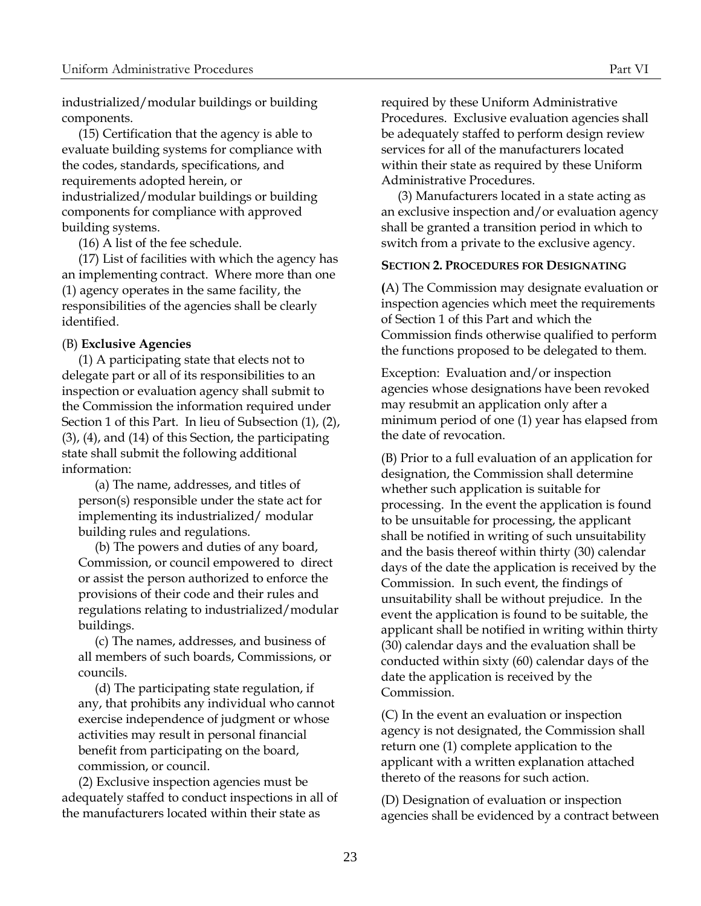industrialized/modular buildings or building components.

(15) Certification that the agency is able to evaluate building systems for compliance with the codes, standards, specifications, and requirements adopted herein, or industrialized/modular buildings or building components for compliance with approved building systems.

(16) A list of the fee schedule.

(17) List of facilities with which the agency has an implementing contract. Where more than one (1) agency operates in the same facility, the responsibilities of the agencies shall be clearly identified.

# <span id="page-28-0"></span>(B) **Exclusive Agencies**

(1) A participating state that elects not to delegate part or all of its responsibilities to an inspection or evaluation agency shall submit to the Commission the information required under Section 1 of this Part. In lieu of Subsection (1), (2), (3), (4), and (14) of this Section, the participating state shall submit the following additional information:

(a) The name, addresses, and titles of person(s) responsible under the state act for implementing its industrialized/ modular building rules and regulations.

(b) The powers and duties of any board, Commission, or council empowered to direct or assist the person authorized to enforce the provisions of their code and their rules and regulations relating to industrialized/modular buildings.

(c) The names, addresses, and business of all members of such boards, Commissions, or councils.

(d) The participating state regulation, if any, that prohibits any individual who cannot exercise independence of judgment or whose activities may result in personal financial benefit from participating on the board, commission, or council.

(2) Exclusive inspection agencies must be adequately staffed to conduct inspections in all of the manufacturers located within their state as

required by these Uniform Administrative Procedures. Exclusive evaluation agencies shall be adequately staffed to perform design review services for all of the manufacturers located within their state as required by these Uniform Administrative Procedures.

(3) Manufacturers located in a state acting as an exclusive inspection and/or evaluation agency shall be granted a transition period in which to switch from a private to the exclusive agency.

#### <span id="page-28-1"></span>**SECTION 2. PROCEDURES FOR DESIGNATING**

**(**A) The Commission may designate evaluation or inspection agencies which meet the requirements of Section 1 of this Part and which the Commission finds otherwise qualified to perform the functions proposed to be delegated to them.

Exception: Evaluation and/or inspection agencies whose designations have been revoked may resubmit an application only after a minimum period of one (1) year has elapsed from the date of revocation.

(B) Prior to a full evaluation of an application for designation, the Commission shall determine whether such application is suitable for processing. In the event the application is found to be unsuitable for processing, the applicant shall be notified in writing of such unsuitability and the basis thereof within thirty (30) calendar days of the date the application is received by the Commission. In such event, the findings of unsuitability shall be without prejudice. In the event the application is found to be suitable, the applicant shall be notified in writing within thirty (30) calendar days and the evaluation shall be conducted within sixty (60) calendar days of the date the application is received by the Commission.

(C) In the event an evaluation or inspection agency is not designated, the Commission shall return one (1) complete application to the applicant with a written explanation attached thereto of the reasons for such action.

(D) Designation of evaluation or inspection agencies shall be evidenced by a contract between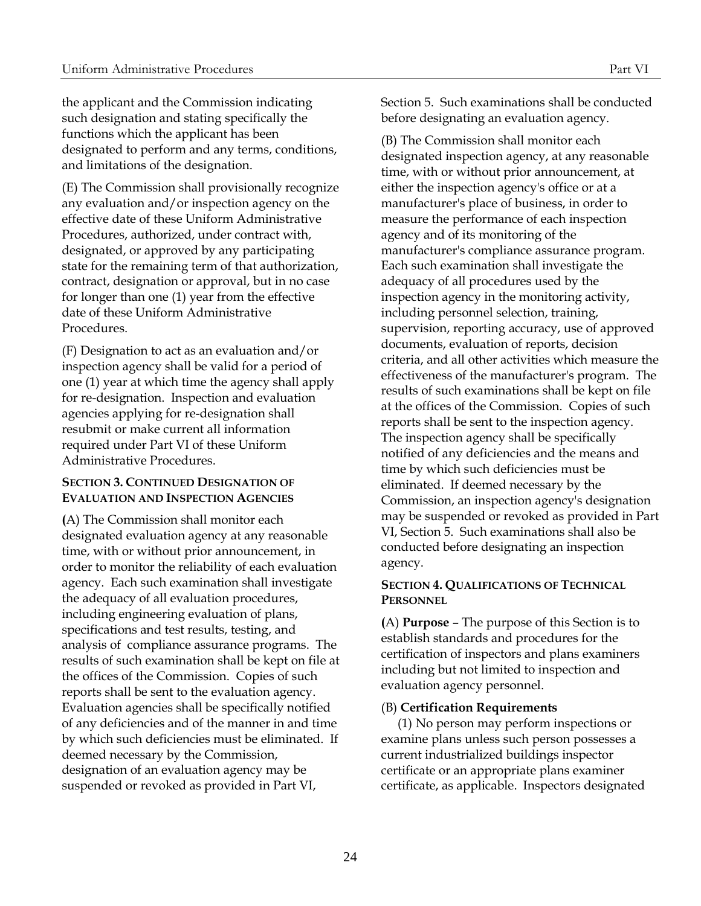the applicant and the Commission indicating such designation and stating specifically the functions which the applicant has been designated to perform and any terms, conditions, and limitations of the designation.

(E) The Commission shall provisionally recognize any evaluation and/or inspection agency on the effective date of these Uniform Administrative Procedures, authorized, under contract with, designated, or approved by any participating state for the remaining term of that authorization, contract, designation or approval, but in no case for longer than one (1) year from the effective date of these Uniform Administrative Procedures.

(F) Designation to act as an evaluation and/or inspection agency shall be valid for a period of one (1) year at which time the agency shall apply for re-designation. Inspection and evaluation agencies applying for re-designation shall resubmit or make current all information required under Part VI of these Uniform Administrative Procedures.

# **SECTION 3. CONTINUED DESIGNATION OF EVALUATION AND INSPECTION AGENCIES**

**(**A) The Commission shall monitor each designated evaluation agency at any reasonable time, with or without prior announcement, in order to monitor the reliability of each evaluation agency. Each such examination shall investigate the adequacy of all evaluation procedures, including engineering evaluation of plans, specifications and test results, testing, and analysis of compliance assurance programs. The results of such examination shall be kept on file at the offices of the Commission. Copies of such reports shall be sent to the evaluation agency. Evaluation agencies shall be specifically notified of any deficiencies and of the manner in and time by which such deficiencies must be eliminated. If deemed necessary by the Commission, designation of an evaluation agency may be suspended or revoked as provided in Part VI,

Section 5. Such examinations shall be conducted before designating an evaluation agency.

(B) The Commission shall monitor each designated inspection agency, at any reasonable time, with or without prior announcement, at either the inspection agency's office or at a manufacturer's place of business, in order to measure the performance of each inspection agency and of its monitoring of the manufacturer's compliance assurance program. Each such examination shall investigate the adequacy of all procedures used by the inspection agency in the monitoring activity, including personnel selection, training, supervision, reporting accuracy, use of approved documents, evaluation of reports, decision criteria, and all other activities which measure the effectiveness of the manufacturer's program. The results of such examinations shall be kept on file at the offices of the Commission. Copies of such reports shall be sent to the inspection agency. The inspection agency shall be specifically notified of any deficiencies and the means and time by which such deficiencies must be eliminated. If deemed necessary by the Commission, an inspection agency's designation may be suspended or revoked as provided in Part VI, Section 5. Such examinations shall also be conducted before designating an inspection agency.

# <span id="page-29-1"></span><span id="page-29-0"></span>**SECTION 4. QUALIFICATIONS OF TECHNICAL PERSONNEL**

<span id="page-29-2"></span>**(**A) **Purpose** – The purpose of this Section is to establish standards and procedures for the certification of inspectors and plans examiners including but not limited to inspection and evaluation agency personnel.

# <span id="page-29-3"></span>(B) **Certification Requirements**

(1) No person may perform inspections or examine plans unless such person possesses a current industrialized buildings inspector certificate or an appropriate plans examiner certificate, as applicable. Inspectors designated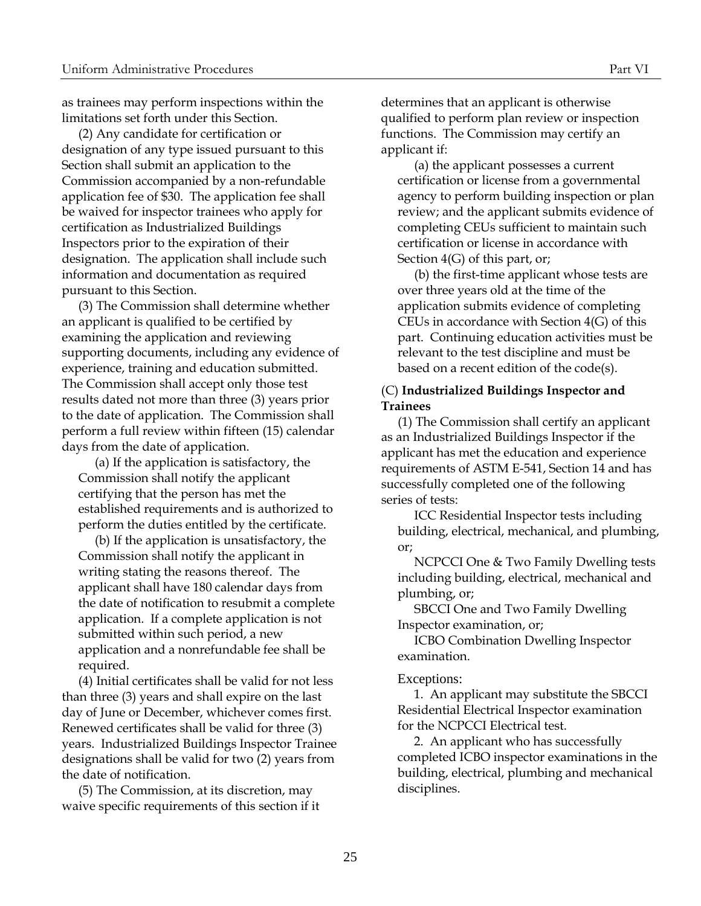as trainees may perform inspections within the limitations set forth under this Section.

(2) Any candidate for certification or designation of any type issued pursuant to this Section shall submit an application to the Commission accompanied by a non-refundable application fee of \$30. The application fee shall be waived for inspector trainees who apply for certification as Industrialized Buildings Inspectors prior to the expiration of their designation. The application shall include such information and documentation as required pursuant to this Section.

(3) The Commission shall determine whether an applicant is qualified to be certified by examining the application and reviewing supporting documents, including any evidence of experience, training and education submitted. The Commission shall accept only those test results dated not more than three (3) years prior to the date of application. The Commission shall perform a full review within fifteen (15) calendar days from the date of application.

(a) If the application is satisfactory, the Commission shall notify the applicant certifying that the person has met the established requirements and is authorized to perform the duties entitled by the certificate.

(b) If the application is unsatisfactory, the Commission shall notify the applicant in writing stating the reasons thereof. The applicant shall have 180 calendar days from the date of notification to resubmit a complete application. If a complete application is not submitted within such period, a new application and a nonrefundable fee shall be required.

(4) Initial certificates shall be valid for not less than three (3) years and shall expire on the last day of June or December, whichever comes first. Renewed certificates shall be valid for three (3) years. Industrialized Buildings Inspector Trainee designations shall be valid for two (2) years from the date of notification.

(5) The Commission, at its discretion, may waive specific requirements of this section if it determines that an applicant is otherwise qualified to perform plan review or inspection functions. The Commission may certify an applicant if:

(a) the applicant possesses a current certification or license from a governmental agency to perform building inspection or plan review; and the applicant submits evidence of completing CEUs sufficient to maintain such certification or license in accordance with Section 4(G) of this part, or;

(b) the first-time applicant whose tests are over three years old at the time of the application submits evidence of completing CEUs in accordance with Section 4(G) of this part. Continuing education activities must be relevant to the test discipline and must be based on a recent edition of the code(s).

# <span id="page-30-0"></span>(C) **Industrialized Buildings Inspector and Trainees**

(1) The Commission shall certify an applicant as an Industrialized Buildings Inspector if the applicant has met the education and experience requirements of ASTM E-541, Section 14 and has successfully completed one of the following series of tests:

ICC Residential Inspector tests including building, electrical, mechanical, and plumbing, or;

NCPCCI One & Two Family Dwelling tests including building, electrical, mechanical and plumbing, or;

SBCCI One and Two Family Dwelling Inspector examination, or;

ICBO Combination Dwelling Inspector examination.

#### Exceptions:

1. An applicant may substitute the SBCCI Residential Electrical Inspector examination for the NCPCCI Electrical test.

2. An applicant who has successfully completed ICBO inspector examinations in the building, electrical, plumbing and mechanical disciplines.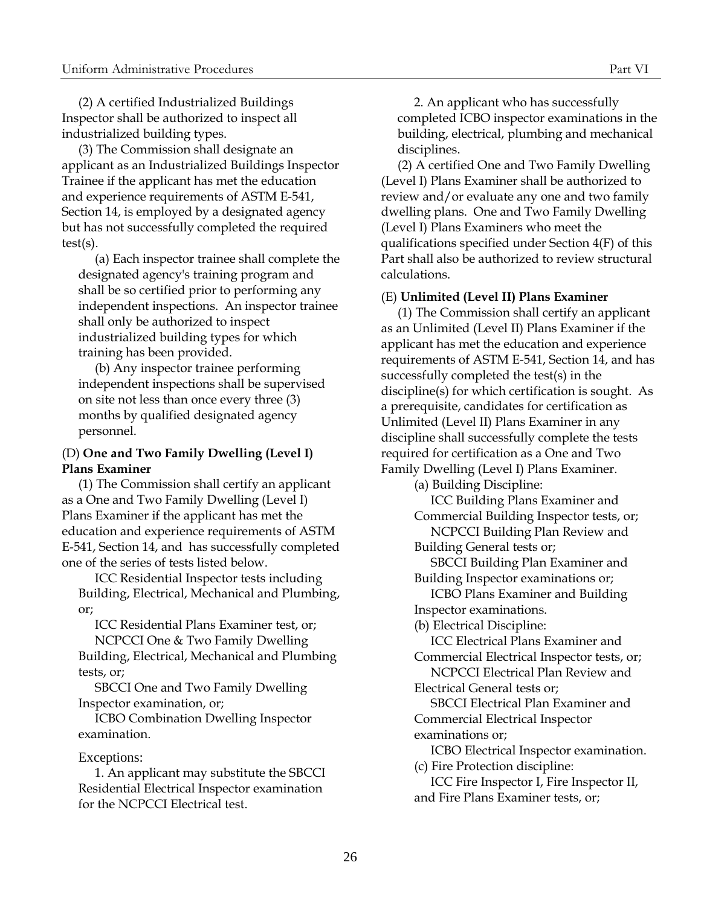(2) A certified Industrialized Buildings Inspector shall be authorized to inspect all industrialized building types.

(3) The Commission shall designate an applicant as an Industrialized Buildings Inspector Trainee if the applicant has met the education and experience requirements of ASTM E-541, Section 14, is employed by a designated agency but has not successfully completed the required test(s).

(a) Each inspector trainee shall complete the designated agency's training program and shall be so certified prior to performing any independent inspections. An inspector trainee shall only be authorized to inspect industrialized building types for which training has been provided.

(b) Any inspector trainee performing independent inspections shall be supervised on site not less than once every three (3) months by qualified designated agency personnel.

# <span id="page-31-0"></span>(D) **One and Two Family Dwelling (Level I) Plans Examiner**

(1) The Commission shall certify an applicant as a One and Two Family Dwelling (Level I) Plans Examiner if the applicant has met the education and experience requirements of ASTM E-541, Section 14, and has successfully completed one of the series of tests listed below.

ICC Residential Inspector tests including Building, Electrical, Mechanical and Plumbing, or;

ICC Residential Plans Examiner test, or; NCPCCI One & Two Family Dwelling

Building, Electrical, Mechanical and Plumbing tests, or;

SBCCI One and Two Family Dwelling Inspector examination, or;

ICBO Combination Dwelling Inspector examination.

#### Exceptions:

1. An applicant may substitute the SBCCI Residential Electrical Inspector examination for the NCPCCI Electrical test.

2. An applicant who has successfully completed ICBO inspector examinations in the building, electrical, plumbing and mechanical disciplines.

(2) A certified One and Two Family Dwelling (Level I) Plans Examiner shall be authorized to review and/or evaluate any one and two family dwelling plans. One and Two Family Dwelling (Level I) Plans Examiners who meet the qualifications specified under Section 4(F) of this Part shall also be authorized to review structural calculations.

#### <span id="page-31-1"></span>(E) **Unlimited (Level II) Plans Examiner**

(1) The Commission shall certify an applicant as an Unlimited (Level II) Plans Examiner if the applicant has met the education and experience requirements of ASTM E-541, Section 14, and has successfully completed the test(s) in the discipline(s) for which certification is sought. As a prerequisite, candidates for certification as Unlimited (Level II) Plans Examiner in any discipline shall successfully complete the tests required for certification as a One and Two Family Dwelling (Level I) Plans Examiner.

(a) Building Discipline:

ICC Building Plans Examiner and Commercial Building Inspector tests, or; NCPCCI Building Plan Review and

Building General tests or;

SBCCI Building Plan Examiner and Building Inspector examinations or;

ICBO Plans Examiner and Building Inspector examinations.

(b) Electrical Discipline:

ICC Electrical Plans Examiner and Commercial Electrical Inspector tests, or;

NCPCCI Electrical Plan Review and Electrical General tests or;

SBCCI Electrical Plan Examiner and Commercial Electrical Inspector examinations or;

ICBO Electrical Inspector examination.

(c) Fire Protection discipline:

ICC Fire Inspector I, Fire Inspector II, and Fire Plans Examiner tests, or;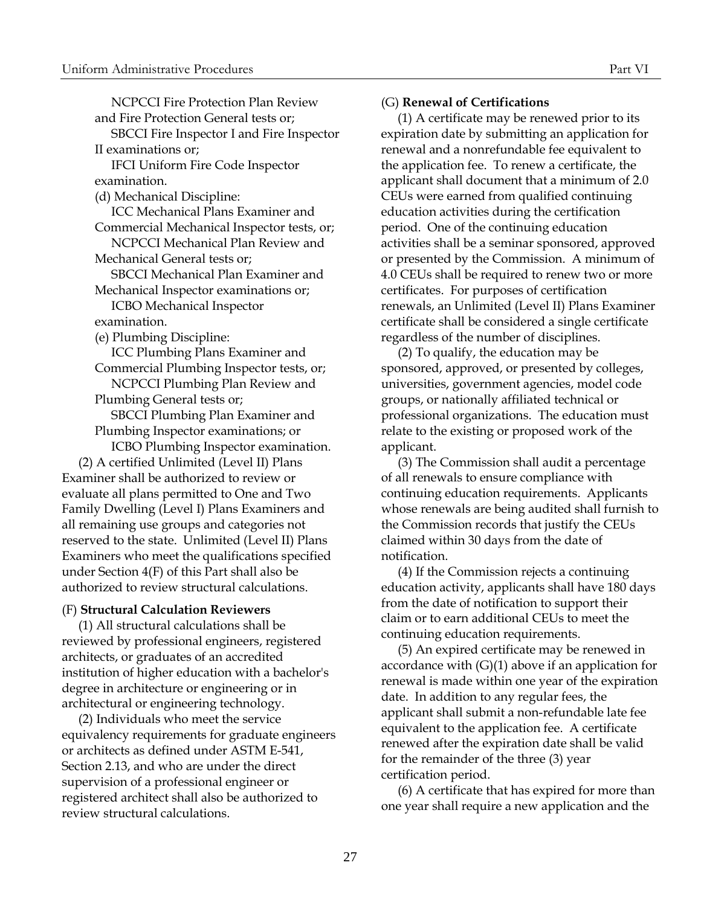NCPCCI Fire Protection Plan Review and Fire Protection General tests or; SBCCI Fire Inspector I and Fire Inspector II examinations or; IFCI Uniform Fire Code Inspector examination. (d) Mechanical Discipline: ICC Mechanical Plans Examiner and Commercial Mechanical Inspector tests, or; NCPCCI Mechanical Plan Review and Mechanical General tests or; SBCCI Mechanical Plan Examiner and Mechanical Inspector examinations or; ICBO Mechanical Inspector examination. (e) Plumbing Discipline: ICC Plumbing Plans Examiner and Commercial Plumbing Inspector tests, or; NCPCCI Plumbing Plan Review and Plumbing General tests or; SBCCI Plumbing Plan Examiner and Plumbing Inspector examinations; or ICBO Plumbing Inspector examination. (2) A certified Unlimited (Level II) Plans Examiner shall be authorized to review or evaluate all plans permitted to One and Two Family Dwelling (Level I) Plans Examiners and all remaining use groups and categories not reserved to the state. Unlimited (Level II) Plans

Examiners who meet the qualifications specified under Section 4(F) of this Part shall also be authorized to review structural calculations.

#### (F) **Structural Calculation Reviewers**

(1) All structural calculations shall be reviewed by professional engineers, registered architects, or graduates of an accredited institution of higher education with a bachelor's degree in architecture or engineering or in architectural or engineering technology.

(2) Individuals who meet the service equivalency requirements for graduate engineers or architects as defined under ASTM E-541, Section 2.13, and who are under the direct supervision of a professional engineer or registered architect shall also be authorized to review structural calculations.

#### <span id="page-32-1"></span>(G) **Renewal of Certifications**

(1) A certificate may be renewed prior to its expiration date by submitting an application for renewal and a nonrefundable fee equivalent to the application fee. To renew a certificate, the applicant shall document that a minimum of 2.0 CEUs were earned from qualified continuing education activities during the certification period. One of the continuing education activities shall be a seminar sponsored, approved or presented by the Commission. A minimum of 4.0 CEUs shall be required to renew two or more certificates. For purposes of certification renewals, an Unlimited (Level II) Plans Examiner certificate shall be considered a single certificate regardless of the number of disciplines.

(2) To qualify, the education may be sponsored, approved, or presented by colleges, universities, government agencies, model code groups, or nationally affiliated technical or professional organizations. The education must relate to the existing or proposed work of the applicant.

(3) The Commission shall audit a percentage of all renewals to ensure compliance with continuing education requirements. Applicants whose renewals are being audited shall furnish to the Commission records that justify the CEUs claimed within 30 days from the date of notification.

<span id="page-32-0"></span>(4) If the Commission rejects a continuing education activity, applicants shall have 180 days from the date of notification to support their claim or to earn additional CEUs to meet the continuing education requirements.

(5) An expired certificate may be renewed in accordance with (G)(1) above if an application for renewal is made within one year of the expiration date. In addition to any regular fees, the applicant shall submit a non-refundable late fee equivalent to the application fee. A certificate renewed after the expiration date shall be valid for the remainder of the three (3) year certification period.

(6) A certificate that has expired for more than one year shall require a new application and the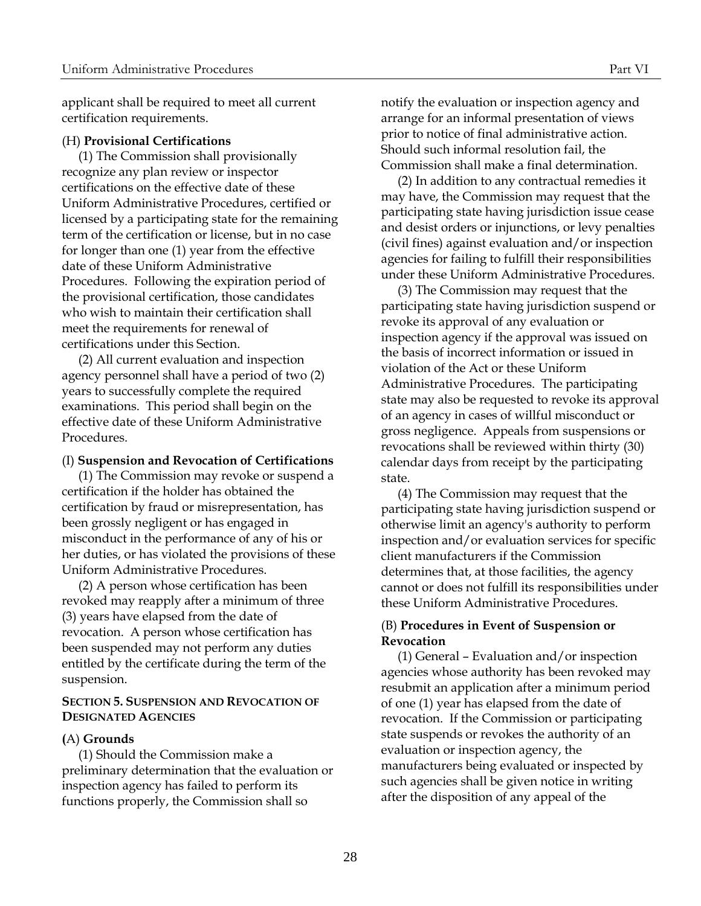applicant shall be required to meet all current certification requirements.

#### (H) **Provisional Certifications**

(1) The Commission shall provisionally recognize any plan review or inspector certifications on the effective date of these Uniform Administrative Procedures, certified or licensed by a participating state for the remaining term of the certification or license, but in no case for longer than one (1) year from the effective date of these Uniform Administrative Procedures. Following the expiration period of the provisional certification, those candidates who wish to maintain their certification shall meet the requirements for renewal of certifications under this Section.

(2) All current evaluation and inspection agency personnel shall have a period of two (2) years to successfully complete the required examinations. This period shall begin on the effective date of these Uniform Administrative Procedures.

#### (I) **Suspension and Revocation of Certifications**

(1) The Commission may revoke or suspend a certification if the holder has obtained the certification by fraud or misrepresentation, has been grossly negligent or has engaged in misconduct in the performance of any of his or her duties, or has violated the provisions of these Uniform Administrative Procedures.

(2) A person whose certification has been revoked may reapply after a minimum of three (3) years have elapsed from the date of revocation. A person whose certification has been suspended may not perform any duties entitled by the certificate during the term of the suspension.

#### <span id="page-33-2"></span>**SECTION 5. SUSPENSION AND REVOCATION OF DESIGNATED AGENCIES**

#### <span id="page-33-3"></span>**(**A) **Grounds**

(1) Should the Commission make a preliminary determination that the evaluation or inspection agency has failed to perform its functions properly, the Commission shall so

<span id="page-33-0"></span>notify the evaluation or inspection agency and arrange for an informal presentation of views prior to notice of final administrative action. Should such informal resolution fail, the Commission shall make a final determination.

(2) In addition to any contractual remedies it may have, the Commission may request that the participating state having jurisdiction issue cease and desist orders or injunctions, or levy penalties (civil fines) against evaluation and/or inspection agencies for failing to fulfill their responsibilities under these Uniform Administrative Procedures.

(3) The Commission may request that the participating state having jurisdiction suspend or revoke its approval of any evaluation or inspection agency if the approval was issued on the basis of incorrect information or issued in violation of the Act or these Uniform Administrative Procedures. The participating state may also be requested to revoke its approval of an agency in cases of willful misconduct or gross negligence. Appeals from suspensions or revocations shall be reviewed within thirty (30) calendar days from receipt by the participating state.

<span id="page-33-1"></span>(4) The Commission may request that the participating state having jurisdiction suspend or otherwise limit an agency's authority to perform inspection and/or evaluation services for specific client manufacturers if the Commission determines that, at those facilities, the agency cannot or does not fulfill its responsibilities under these Uniform Administrative Procedures.

#### <span id="page-33-4"></span>(B) **Procedures in Event of Suspension or Revocation**

(1) General – Evaluation and/or inspection agencies whose authority has been revoked may resubmit an application after a minimum period of one (1) year has elapsed from the date of revocation. If the Commission or participating state suspends or revokes the authority of an evaluation or inspection agency, the manufacturers being evaluated or inspected by such agencies shall be given notice in writing after the disposition of any appeal of the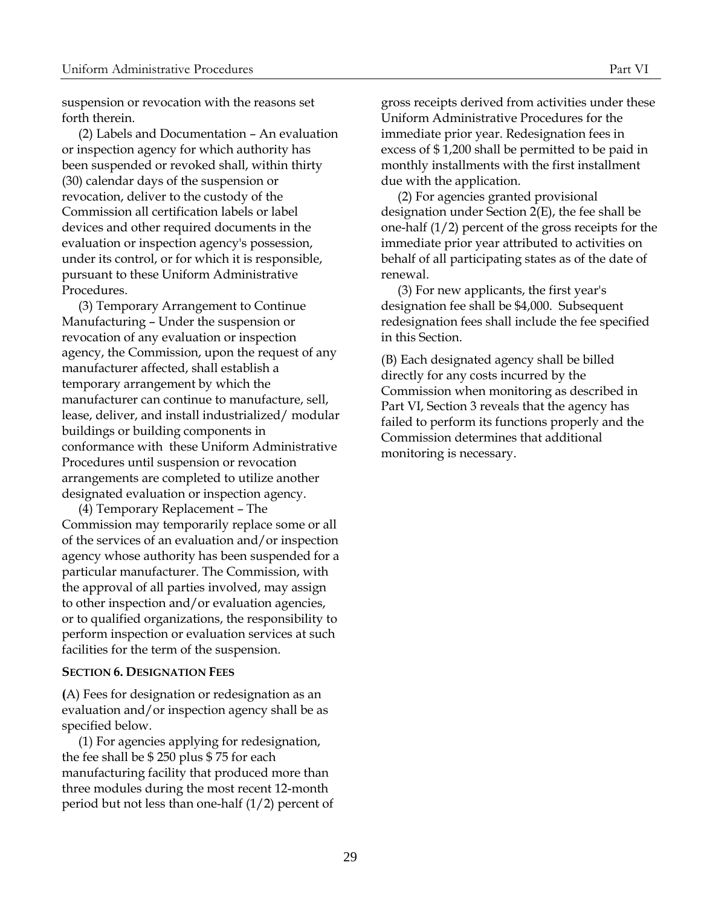suspension or revocation with the reasons set forth therein.

(2) Labels and Documentation – An evaluation or inspection agency for which authority has been suspended or revoked shall, within thirty (30) calendar days of the suspension or revocation, deliver to the custody of the Commission all certification labels or label devices and other required documents in the evaluation or inspection agency's possession, under its control, or for which it is responsible, pursuant to these Uniform Administrative Procedures.

(3) Temporary Arrangement to Continue Manufacturing – Under the suspension or revocation of any evaluation or inspection agency, the Commission, upon the request of any manufacturer affected, shall establish a temporary arrangement by which the manufacturer can continue to manufacture, sell, lease, deliver, and install industrialized/ modular buildings or building components in conformance with these Uniform Administrative Procedures until suspension or revocation arrangements are completed to utilize another designated evaluation or inspection agency.

(4) Temporary Replacement – The Commission may temporarily replace some or all of the services of an evaluation and/or inspection agency whose authority has been suspended for a particular manufacturer. The Commission, with the approval of all parties involved, may assign to other inspection and/or evaluation agencies, or to qualified organizations, the responsibility to perform inspection or evaluation services at such facilities for the term of the suspension.

#### <span id="page-34-0"></span>**SECTION 6. DESIGNATION FEES**

**(**A) Fees for designation or redesignation as an evaluation and/or inspection agency shall be as specified below.

(1) For agencies applying for redesignation, the fee shall be \$ 250 plus \$ 75 for each manufacturing facility that produced more than three modules during the most recent 12-month period but not less than one-half (1/2) percent of

gross receipts derived from activities under these Uniform Administrative Procedures for the immediate prior year. Redesignation fees in excess of \$ 1,200 shall be permitted to be paid in monthly installments with the first installment due with the application.

(2) For agencies granted provisional designation under Section 2(E), the fee shall be one-half (1/2) percent of the gross receipts for the immediate prior year attributed to activities on behalf of all participating states as of the date of renewal.

(3) For new applicants, the first year's designation fee shall be \$4,000. Subsequent redesignation fees shall include the fee specified in this Section.

(B) Each designated agency shall be billed directly for any costs incurred by the Commission when monitoring as described in Part VI, Section 3 reveals that the agency has failed to perform its functions properly and the Commission determines that additional monitoring is necessary.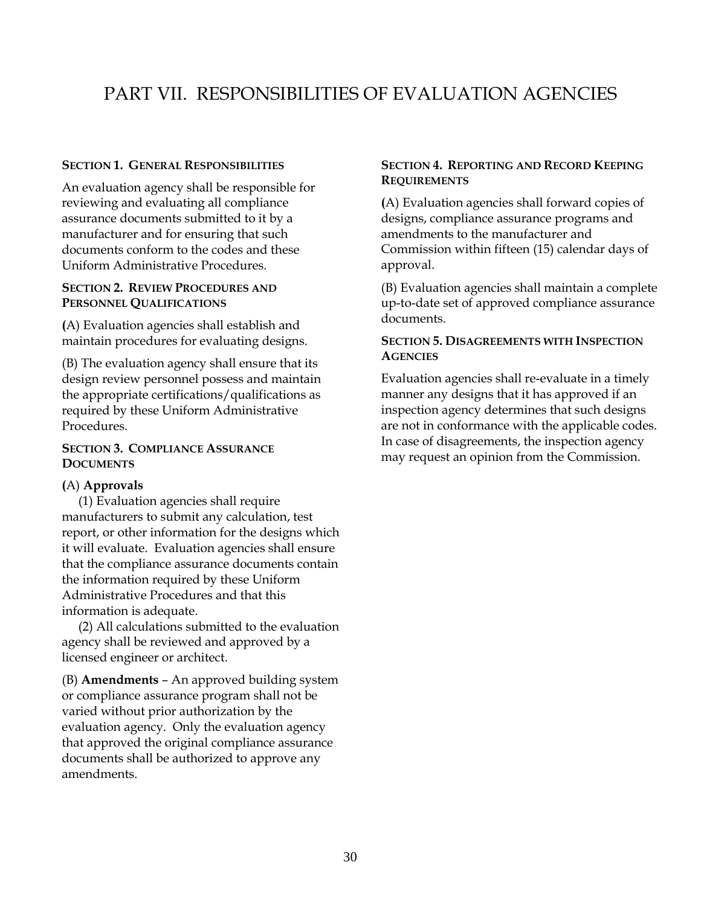# PART VII. RESPONSIBILITIES OF EVALUATION AGENCIES

# **SECTION 1. GENERAL RESPONSIBILITIES**

An evaluation agency shall be responsible for reviewing and evaluating all compliance assurance documents submitted to it by a manufacturer and for ensuring that such documents conform to the codes and these Uniform Administrative Procedures.

# **SECTION 2. REVIEW PROCEDURES AND PERSONNEL QUALIFICATIONS**

**(**A) Evaluation agencies shall establish and maintain procedures for evaluating designs.

(B) The evaluation agency shall ensure that its design review personnel possess and maintain the appropriate certifications/qualifications as required by these Uniform Administrative Procedures.

# <span id="page-35-3"></span>**SECTION 3. COMPLIANCE ASSURANCE DOCUMENTS**

# <span id="page-35-4"></span>**(**A) **Approvals**

(1) Evaluation agencies shall require manufacturers to submit any calculation, test report, or other information for the designs which it will evaluate. Evaluation agencies shall ensure that the compliance assurance documents contain the information required by these Uniform Administrative Procedures and that this information is adequate.

(2) All calculations submitted to the evaluation agency shall be reviewed and approved by a licensed engineer or architect.

<span id="page-35-5"></span>(B) **Amendments** – An approved building system or compliance assurance program shall not be varied without prior authorization by the evaluation agency. Only the evaluation agency that approved the original compliance assurance documents shall be authorized to approve any amendments.

# <span id="page-35-6"></span><span id="page-35-1"></span><span id="page-35-0"></span>**SECTION 4. REPORTING AND RECORD KEEPING REQUIREMENTS**

**(**A) Evaluation agencies shall forward copies of designs, compliance assurance programs and amendments to the manufacturer and Commission within fifteen (15) calendar days of approval.

<span id="page-35-2"></span>(B) Evaluation agencies shall maintain a complete up-to-date set of approved compliance assurance documents.

# <span id="page-35-7"></span>**SECTION 5. DISAGREEMENTS WITH INSPECTION AGENCIES**

Evaluation agencies shall re-evaluate in a timely manner any designs that it has approved if an inspection agency determines that such designs are not in conformance with the applicable codes. In case of disagreements, the inspection agency may request an opinion from the Commission.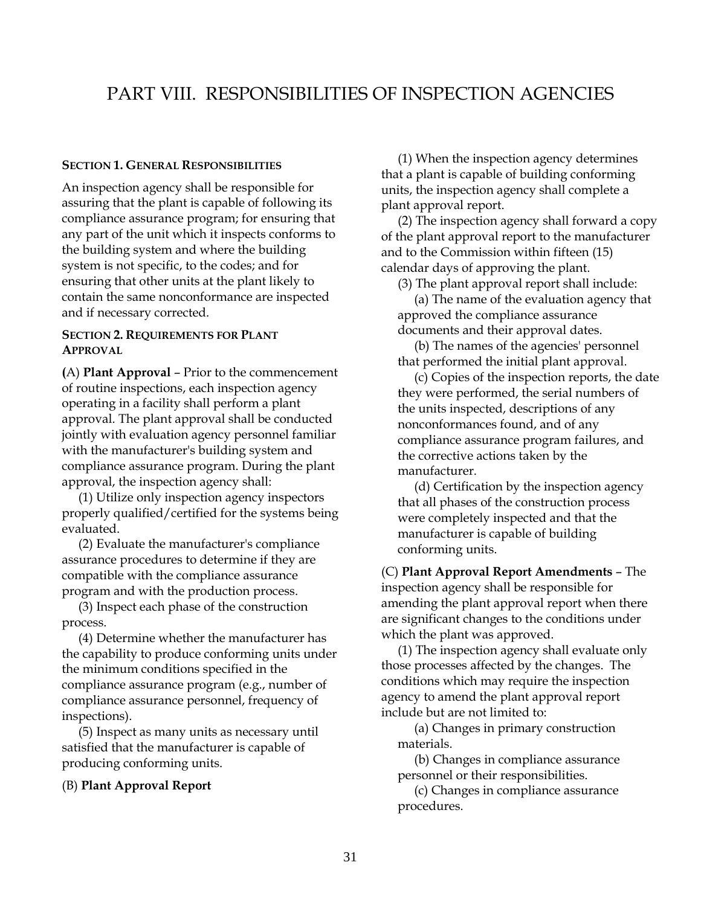# PART VIII. RESPONSIBILITIES OF INSPECTION AGENCIES

#### **SECTION 1. GENERAL RESPONSIBILITIES**

An inspection agency shall be responsible for assuring that the plant is capable of following its compliance assurance program; for ensuring that any part of the unit which it inspects conforms to the building system and where the building system is not specific, to the codes; and for ensuring that other units at the plant likely to contain the same nonconformance are inspected and if necessary corrected.

# <span id="page-36-2"></span>**SECTION 2. REQUIREMENTS FOR PLANT APPROVAL**

<span id="page-36-3"></span>**(**A) **Plant Approval** – Prior to the commencement of routine inspections, each inspection agency operating in a facility shall perform a plant approval. The plant approval shall be conducted jointly with evaluation agency personnel familiar with the manufacturer's building system and compliance assurance program. During the plant approval, the inspection agency shall:

(1) Utilize only inspection agency inspectors properly qualified/certified for the systems being evaluated.

(2) Evaluate the manufacturer's compliance assurance procedures to determine if they are compatible with the compliance assurance program and with the production process.

(3) Inspect each phase of the construction process.

(4) Determine whether the manufacturer has the capability to produce conforming units under the minimum conditions specified in the compliance assurance program (e.g., number of compliance assurance personnel, frequency of inspections).

(5) Inspect as many units as necessary until satisfied that the manufacturer is capable of producing conforming units.

#### <span id="page-36-4"></span>(B) **Plant Approval Report**

<span id="page-36-1"></span><span id="page-36-0"></span>(1) When the inspection agency determines that a plant is capable of building conforming units, the inspection agency shall complete a plant approval report.

(2) The inspection agency shall forward a copy of the plant approval report to the manufacturer and to the Commission within fifteen (15) calendar days of approving the plant.

(3) The plant approval report shall include:

(a) The name of the evaluation agency that approved the compliance assurance documents and their approval dates.

(b) The names of the agencies' personnel that performed the initial plant approval.

(c) Copies of the inspection reports, the date they were performed, the serial numbers of the units inspected, descriptions of any nonconformances found, and of any compliance assurance program failures, and the corrective actions taken by the manufacturer.

<span id="page-36-5"></span>(d) Certification by the inspection agency that all phases of the construction process were completely inspected and that the manufacturer is capable of building conforming units.

(C) **Plant Approval Report Amendments** – The inspection agency shall be responsible for amending the plant approval report when there are significant changes to the conditions under which the plant was approved.

(1) The inspection agency shall evaluate only those processes affected by the changes. The conditions which may require the inspection agency to amend the plant approval report include but are not limited to:

(a) Changes in primary construction materials.

(b) Changes in compliance assurance personnel or their responsibilities.

(c) Changes in compliance assurance procedures.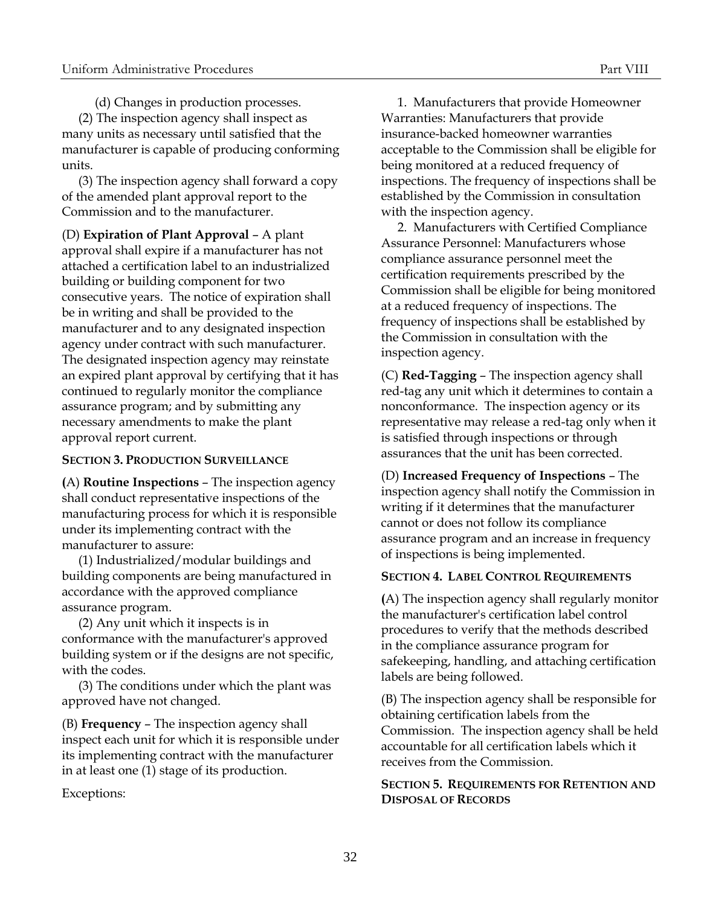(d) Changes in production processes.

(2) The inspection agency shall inspect as many units as necessary until satisfied that the manufacturer is capable of producing conforming units.

(3) The inspection agency shall forward a copy of the amended plant approval report to the Commission and to the manufacturer.

(D) **Expiration of Plant Approval** – A plant approval shall expire if a manufacturer has not attached a certification label to an industrialized building or building component for two consecutive years. The notice of expiration shall be in writing and shall be provided to the manufacturer and to any designated inspection agency under contract with such manufacturer. The designated inspection agency may reinstate an expired plant approval by certifying that it has continued to regularly monitor the compliance assurance program; and by submitting any necessary amendments to make the plant approval report current.

# **SECTION 3. PRODUCTION SURVEILLANCE**

<span id="page-37-2"></span>**(**A) **Routine Inspections** – The inspection agency shall conduct representative inspections of the manufacturing process for which it is responsible under its implementing contract with the manufacturer to assure:

(1) Industrialized/modular buildings and building components are being manufactured in accordance with the approved compliance assurance program.

(2) Any unit which it inspects is in conformance with the manufacturer's approved building system or if the designs are not specific, with the codes.

(3) The conditions under which the plant was approved have not changed.

<span id="page-37-3"></span>(B) **Frequency** – The inspection agency shall inspect each unit for which it is responsible under its implementing contract with the manufacturer in at least one (1) stage of its production.

Exceptions:

1. Manufacturers that provide Homeowner Warranties: Manufacturers that provide insurance-backed homeowner warranties acceptable to the Commission shall be eligible for being monitored at a reduced frequency of inspections. The frequency of inspections shall be established by the Commission in consultation with the inspection agency.

<span id="page-37-0"></span>2. Manufacturers with Certified Compliance Assurance Personnel: Manufacturers whose compliance assurance personnel meet the certification requirements prescribed by the Commission shall be eligible for being monitored at a reduced frequency of inspections. The frequency of inspections shall be established by the Commission in consultation with the inspection agency.

<span id="page-37-4"></span>(C) **Red-Tagging** – The inspection agency shall red-tag any unit which it determines to contain a nonconformance. The inspection agency or its representative may release a red-tag only when it is satisfied through inspections or through assurances that the unit has been corrected.

<span id="page-37-5"></span><span id="page-37-1"></span>(D) **Increased Frequency of Inspections** – The inspection agency shall notify the Commission in writing if it determines that the manufacturer cannot or does not follow its compliance assurance program and an increase in frequency of inspections is being implemented.

# <span id="page-37-6"></span>**SECTION 4. LABEL CONTROL REQUIREMENTS**

**(**A) The inspection agency shall regularly monitor the manufacturer's certification label control procedures to verify that the methods described in the compliance assurance program for safekeeping, handling, and attaching certification labels are being followed.

(B) The inspection agency shall be responsible for obtaining certification labels from the Commission. The inspection agency shall be held accountable for all certification labels which it receives from the Commission.

# <span id="page-37-7"></span>**SECTION 5. REQUIREMENTS FOR RETENTION AND DISPOSAL OF RECORDS**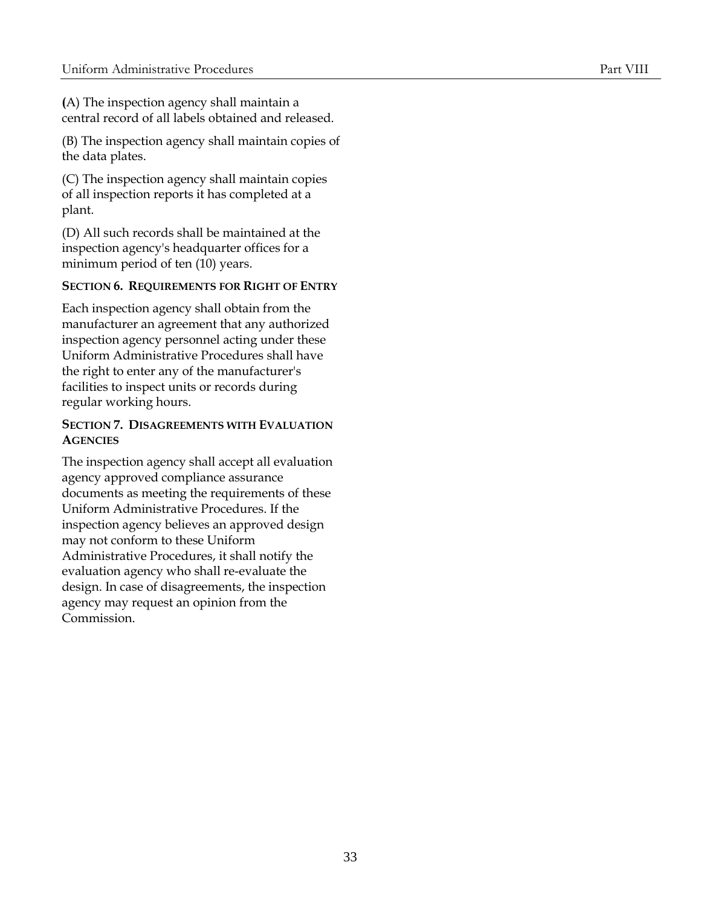**(**A) The inspection agency shall maintain a central record of all labels obtained and released.

(B) The inspection agency shall maintain copies of the data plates.

(C) The inspection agency shall maintain copies of all inspection reports it has completed at a plant.

(D) All such records shall be maintained at the inspection agency's headquarter offices for a minimum period of ten (10) years.

# <span id="page-38-0"></span>**SECTION 6. REQUIREMENTS FOR RIGHT OF ENTRY**

Each inspection agency shall obtain from the manufacturer an agreement that any authorized inspection agency personnel acting under these Uniform Administrative Procedures shall have the right to enter any of the manufacturer's facilities to inspect units or records during regular working hours.

# <span id="page-38-1"></span>**SECTION 7. DISAGREEMENTS WITH EVALUATION AGENCIES**

The inspection agency shall accept all evaluation agency approved compliance assurance documents as meeting the requirements of these Uniform Administrative Procedures. If the inspection agency believes an approved design may not conform to these Uniform Administrative Procedures, it shall notify the evaluation agency who shall re-evaluate the design. In case of disagreements, the inspection agency may request an opinion from the Commission.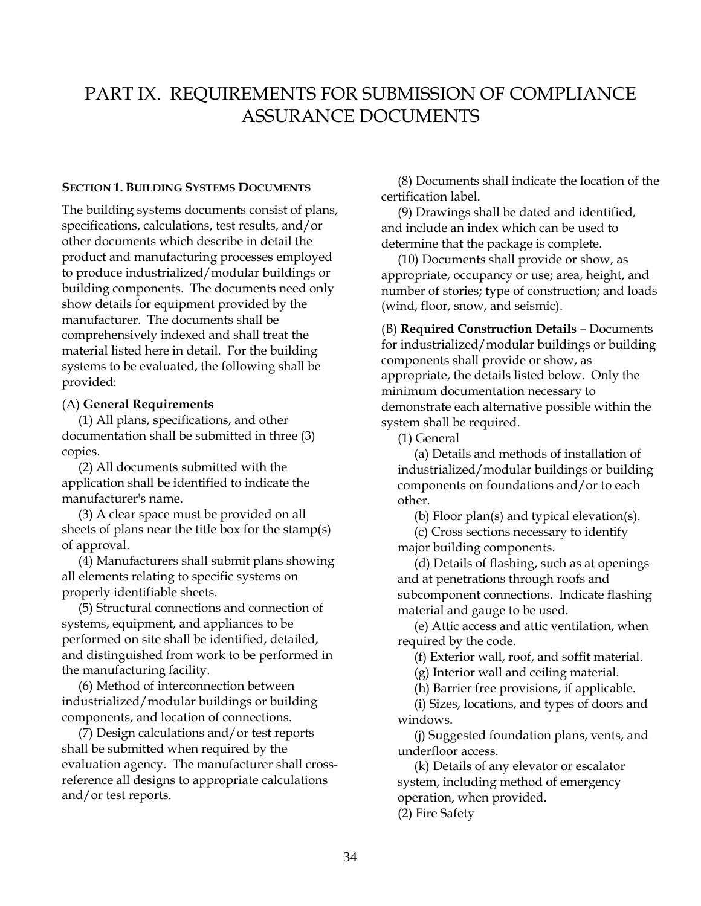# PART IX. REQUIREMENTS FOR SUBMISSION OF COMPLIANCE ASSURANCE DOCUMENTS

#### **SECTION 1. BUILDING SYSTEMS DOCUMENTS**

The building systems documents consist of plans, specifications, calculations, test results, and/or other documents which describe in detail the product and manufacturing processes employed to produce industrialized/modular buildings or building components. The documents need only show details for equipment provided by the manufacturer. The documents shall be comprehensively indexed and shall treat the material listed here in detail. For the building systems to be evaluated, the following shall be provided:

#### <span id="page-39-2"></span>(A) **General Requirements**

(1) All plans, specifications, and other documentation shall be submitted in three (3) copies.

(2) All documents submitted with the application shall be identified to indicate the manufacturer's name.

(3) A clear space must be provided on all sheets of plans near the title box for the stamp(s) of approval.

(4) Manufacturers shall submit plans showing all elements relating to specific systems on properly identifiable sheets.

(5) Structural connections and connection of systems, equipment, and appliances to be performed on site shall be identified, detailed, and distinguished from work to be performed in the manufacturing facility.

(6) Method of interconnection between industrialized/modular buildings or building components, and location of connections.

(7) Design calculations and/or test reports shall be submitted when required by the evaluation agency. The manufacturer shall crossreference all designs to appropriate calculations and/or test reports.

<span id="page-39-1"></span><span id="page-39-0"></span>(8) Documents shall indicate the location of the certification label.

(9) Drawings shall be dated and identified, and include an index which can be used to determine that the package is complete.

(10) Documents shall provide or show, as appropriate, occupancy or use; area, height, and number of stories; type of construction; and loads (wind, floor, snow, and seismic).

<span id="page-39-3"></span>(B) **Required Construction Details** – Documents for industrialized/modular buildings or building components shall provide or show, as appropriate, the details listed below. Only the minimum documentation necessary to demonstrate each alternative possible within the system shall be required.

(1) General

(a) Details and methods of installation of industrialized/modular buildings or building components on foundations and/or to each other.

(b) Floor plan(s) and typical elevation(s).

(c) Cross sections necessary to identify major building components.

(d) Details of flashing, such as at openings and at penetrations through roofs and subcomponent connections. Indicate flashing material and gauge to be used.

(e) Attic access and attic ventilation, when required by the code.

(f) Exterior wall, roof, and soffit material.

(g) Interior wall and ceiling material.

(h) Barrier free provisions, if applicable.

(i) Sizes, locations, and types of doors and windows.

(j) Suggested foundation plans, vents, and underfloor access.

(k) Details of any elevator or escalator system, including method of emergency operation, when provided.

(2) Fire Safety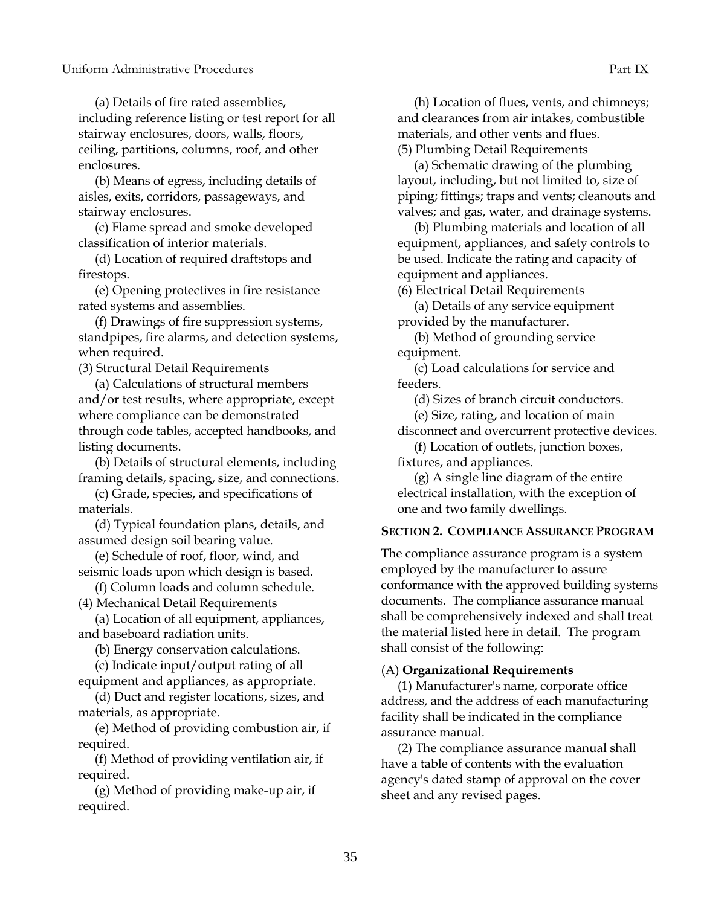(a) Details of fire rated assemblies, including reference listing or test report for all stairway enclosures, doors, walls, floors, ceiling, partitions, columns, roof, and other enclosures.

(b) Means of egress, including details of aisles, exits, corridors, passageways, and stairway enclosures.

(c) Flame spread and smoke developed classification of interior materials.

(d) Location of required draftstops and firestops.

(e) Opening protectives in fire resistance rated systems and assemblies.

(f) Drawings of fire suppression systems, standpipes, fire alarms, and detection systems, when required.

(3) Structural Detail Requirements

(a) Calculations of structural members and/or test results, where appropriate, except where compliance can be demonstrated through code tables, accepted handbooks, and listing documents.

(b) Details of structural elements, including framing details, spacing, size, and connections.

(c) Grade, species, and specifications of materials.

(d) Typical foundation plans, details, and assumed design soil bearing value.

(e) Schedule of roof, floor, wind, and seismic loads upon which design is based.

(f) Column loads and column schedule. (4) Mechanical Detail Requirements

(a) Location of all equipment, appliances, and baseboard radiation units.

(b) Energy conservation calculations.

(c) Indicate input/output rating of all

equipment and appliances, as appropriate.

(d) Duct and register locations, sizes, and materials, as appropriate.

(e) Method of providing combustion air, if required.

(f) Method of providing ventilation air, if required.

(g) Method of providing make-up air, if required.

(h) Location of flues, vents, and chimneys; and clearances from air intakes, combustible materials, and other vents and flues. (5) Plumbing Detail Requirements

(a) Schematic drawing of the plumbing layout, including, but not limited to, size of piping; fittings; traps and vents; cleanouts and valves; and gas, water, and drainage systems.

(b) Plumbing materials and location of all equipment, appliances, and safety controls to be used. Indicate the rating and capacity of equipment and appliances.

(6) Electrical Detail Requirements

(a) Details of any service equipment provided by the manufacturer.

(b) Method of grounding service equipment.

(c) Load calculations for service and feeders.

(d) Sizes of branch circuit conductors.

(e) Size, rating, and location of main disconnect and overcurrent protective devices.

(f) Location of outlets, junction boxes,

fixtures, and appliances.

<span id="page-40-0"></span>(g) A single line diagram of the entire electrical installation, with the exception of one and two family dwellings.

#### **SECTION 2. COMPLIANCE ASSURANCE PROGRAM**

The compliance assurance program is a system employed by the manufacturer to assure conformance with the approved building systems documents. The compliance assurance manual shall be comprehensively indexed and shall treat the material listed here in detail. The program shall consist of the following:

#### <span id="page-40-1"></span>(A) **Organizational Requirements**

(1) Manufacturer's name, corporate office address, and the address of each manufacturing facility shall be indicated in the compliance assurance manual.

(2) The compliance assurance manual shall have a table of contents with the evaluation agency's dated stamp of approval on the cover sheet and any revised pages.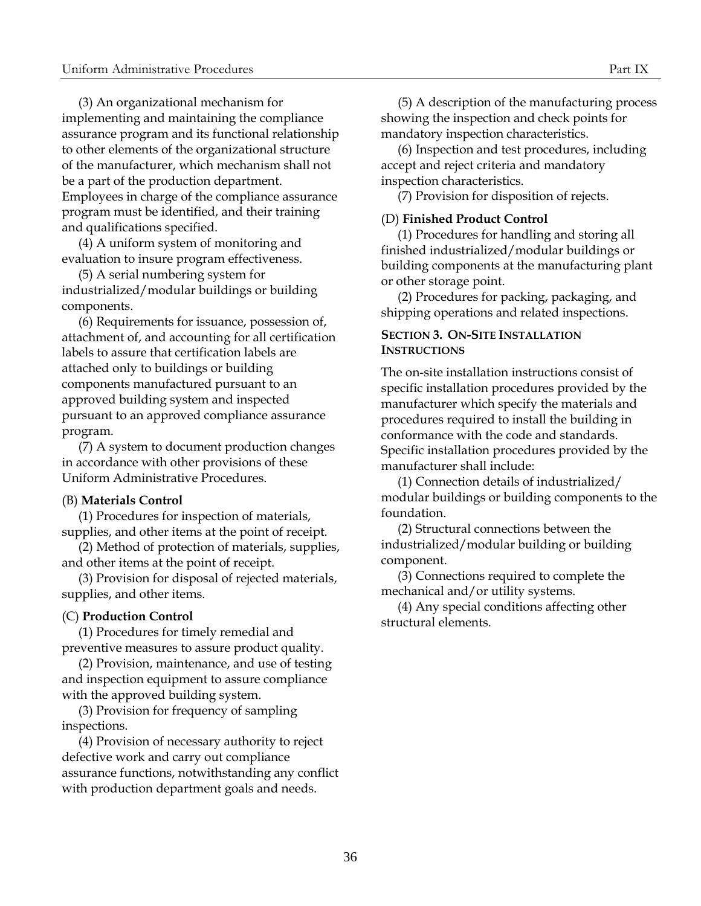(3) An organizational mechanism for implementing and maintaining the compliance assurance program and its functional relationship to other elements of the organizational structure of the manufacturer, which mechanism shall not be a part of the production department. Employees in charge of the compliance assurance program must be identified, and their training and qualifications specified.

(4) A uniform system of monitoring and evaluation to insure program effectiveness.

(5) A serial numbering system for industrialized/modular buildings or building components.

(6) Requirements for issuance, possession of, attachment of, and accounting for all certification labels to assure that certification labels are attached only to buildings or building components manufactured pursuant to an approved building system and inspected pursuant to an approved compliance assurance program.

(7) A system to document production changes in accordance with other provisions of these Uniform Administrative Procedures.

#### <span id="page-41-0"></span>(B) **Materials Control**

(1) Procedures for inspection of materials, supplies, and other items at the point of receipt.

(2) Method of protection of materials, supplies, and other items at the point of receipt.

(3) Provision for disposal of rejected materials, supplies, and other items.

# <span id="page-41-1"></span>(C) **Production Control**

(1) Procedures for timely remedial and preventive measures to assure product quality.

(2) Provision, maintenance, and use of testing and inspection equipment to assure compliance with the approved building system.

(3) Provision for frequency of sampling inspections.

(4) Provision of necessary authority to reject defective work and carry out compliance assurance functions, notwithstanding any conflict with production department goals and needs.

(5) A description of the manufacturing process showing the inspection and check points for mandatory inspection characteristics.

(6) Inspection and test procedures, including accept and reject criteria and mandatory inspection characteristics.

<span id="page-41-2"></span>(7) Provision for disposition of rejects.

## (D) **Finished Product Control**

(1) Procedures for handling and storing all finished industrialized/modular buildings or building components at the manufacturing plant or other storage point.

(2) Procedures for packing, packaging, and shipping operations and related inspections.

### <span id="page-41-3"></span>**SECTION 3. ON-SITE INSTALLATION INSTRUCTIONS**

The on-site installation instructions consist of specific installation procedures provided by the manufacturer which specify the materials and procedures required to install the building in conformance with the code and standards. Specific installation procedures provided by the manufacturer shall include:

(1) Connection details of industrialized/ modular buildings or building components to the foundation.

(2) Structural connections between the industrialized/modular building or building component.

(3) Connections required to complete the mechanical and/or utility systems.

(4) Any special conditions affecting other structural elements.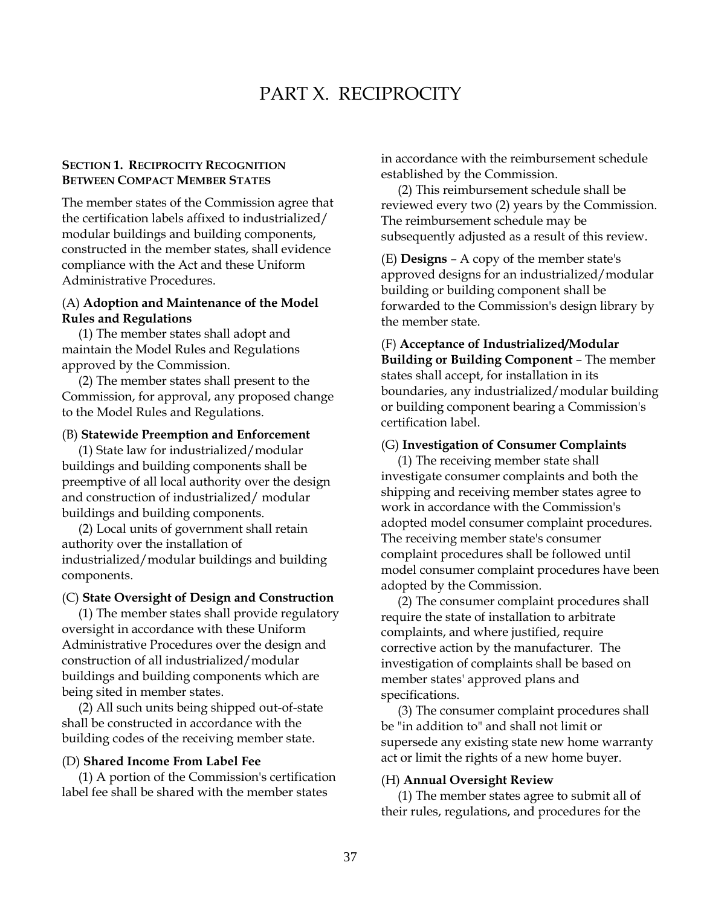# <span id="page-42-1"></span>PART X. RECIPROCITY

## **SECTION 1. RECIPROCITY RECOGNITION BETWEEN COMPACT MEMBER STATES**

The member states of the Commission agree that the certification labels affixed to industrialized/ modular buildings and building components, constructed in the member states, shall evidence compliance with the Act and these Uniform Administrative Procedures.

# <span id="page-42-2"></span>(A) **Adoption and Maintenance of the Model Rules and Regulations**

(1) The member states shall adopt and maintain the Model Rules and Regulations approved by the Commission.

(2) The member states shall present to the Commission, for approval, any proposed change to the Model Rules and Regulations.

#### (B) **Statewide Preemption and Enforcement**

(1) State law for industrialized/modular buildings and building components shall be preemptive of all local authority over the design and construction of industrialized/ modular buildings and building components.

(2) Local units of government shall retain authority over the installation of industrialized/modular buildings and building components.

#### (C) **State Oversight of Design and Construction**

(1) The member states shall provide regulatory oversight in accordance with these Uniform Administrative Procedures over the design and construction of all industrialized/modular buildings and building components which are being sited in member states.

(2) All such units being shipped out-of-state shall be constructed in accordance with the building codes of the receiving member state.

#### (D) **Shared Income From Label Fee**

(1) A portion of the Commission's certification label fee shall be shared with the member states

<span id="page-42-0"></span>in accordance with the reimbursement schedule established by the Commission.

(2) This reimbursement schedule shall be reviewed every two (2) years by the Commission. The reimbursement schedule may be subsequently adjusted as a result of this review.

<span id="page-42-6"></span>(E) **Designs** – A copy of the member state's approved designs for an industrialized/modular building or building component shall be forwarded to the Commission's design library by the member state.

<span id="page-42-7"></span>(F) **Acceptance of Industrialized/Modular Building or Building Component** – The member states shall accept, for installation in its boundaries, any industrialized/modular building or building component bearing a Commission's certification label.

#### <span id="page-42-8"></span><span id="page-42-3"></span>(G) **Investigation of Consumer Complaints**

(1) The receiving member state shall investigate consumer complaints and both the shipping and receiving member states agree to work in accordance with the Commission's adopted model consumer complaint procedures. The receiving member state's consumer complaint procedures shall be followed until model consumer complaint procedures have been adopted by the Commission.

<span id="page-42-4"></span>(2) The consumer complaint procedures shall require the state of installation to arbitrate complaints, and where justified, require corrective action by the manufacturer. The investigation of complaints shall be based on member states' approved plans and specifications.

(3) The consumer complaint procedures shall be "in addition to" and shall not limit or supersede any existing state new home warranty act or limit the rights of a new home buyer.

#### <span id="page-42-9"></span><span id="page-42-5"></span>(H) **Annual Oversight Review**

(1) The member states agree to submit all of their rules, regulations, and procedures for the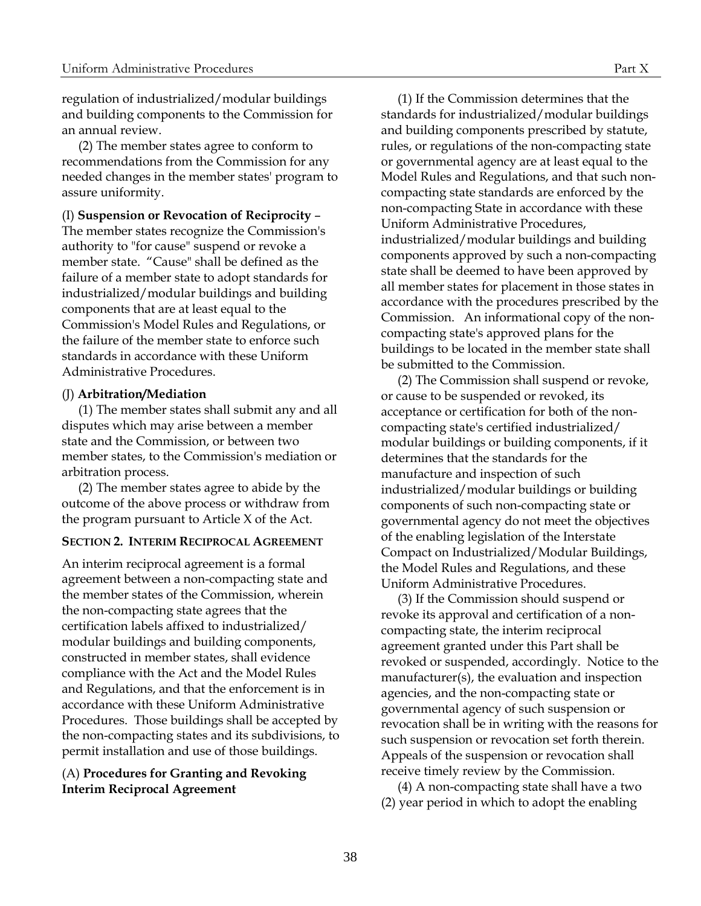regulation of industrialized/modular buildings and building components to the Commission for an annual review.

(2) The member states agree to conform to recommendations from the Commission for any needed changes in the member states' program to assure uniformity.

(I) **Suspension or Revocation of Reciprocity** –

The member states recognize the Commission's authority to "for cause" suspend or revoke a member state. "Cause" shall be defined as the failure of a member state to adopt standards for industrialized/modular buildings and building components that are at least equal to the Commission's Model Rules and Regulations, or the failure of the member state to enforce such standards in accordance with these Uniform Administrative Procedures.

#### <span id="page-43-1"></span>(J) **Arbitration/Mediation**

(1) The member states shall submit any and all disputes which may arise between a member state and the Commission, or between two member states, to the Commission's mediation or arbitration process.

(2) The member states agree to abide by the outcome of the above process or withdraw from the program pursuant to Article X of the Act.

# **SECTION 2. INTERIM RECIPROCAL AGREEMENT**

An interim reciprocal agreement is a formal agreement between a non-compacting state and the member states of the Commission, wherein the non-compacting state agrees that the certification labels affixed to industrialized/ modular buildings and building components, constructed in member states, shall evidence compliance with the Act and the Model Rules and Regulations, and that the enforcement is in accordance with these Uniform Administrative Procedures. Those buildings shall be accepted by the non-compacting states and its subdivisions, to permit installation and use of those buildings.

# (A) **Procedures for Granting and Revoking Interim Reciprocal Agreement**

<span id="page-43-0"></span>(1) If the Commission determines that the standards for industrialized/modular buildings and building components prescribed by statute, rules, or regulations of the non-compacting state or governmental agency are at least equal to the Model Rules and Regulations, and that such noncompacting state standards are enforced by the non-compacting State in accordance with these Uniform Administrative Procedures, industrialized/modular buildings and building components approved by such a non-compacting state shall be deemed to have been approved by all member states for placement in those states in accordance with the procedures prescribed by the Commission. An informational copy of the noncompacting state's approved plans for the buildings to be located in the member state shall be submitted to the Commission.

(2) The Commission shall suspend or revoke, or cause to be suspended or revoked, its acceptance or certification for both of the noncompacting state's certified industrialized/ modular buildings or building components, if it determines that the standards for the manufacture and inspection of such industrialized/modular buildings or building components of such non-compacting state or governmental agency do not meet the objectives of the enabling legislation of the Interstate Compact on Industrialized/Modular Buildings, the Model Rules and Regulations, and these Uniform Administrative Procedures.

<span id="page-43-2"></span>(3) If the Commission should suspend or revoke its approval and certification of a noncompacting state, the interim reciprocal agreement granted under this Part shall be revoked or suspended, accordingly. Notice to the manufacturer(s), the evaluation and inspection agencies, and the non-compacting state or governmental agency of such suspension or revocation shall be in writing with the reasons for such suspension or revocation set forth therein. Appeals of the suspension or revocation shall receive timely review by the Commission.

<span id="page-43-3"></span>(4) A non-compacting state shall have a two (2) year period in which to adopt the enabling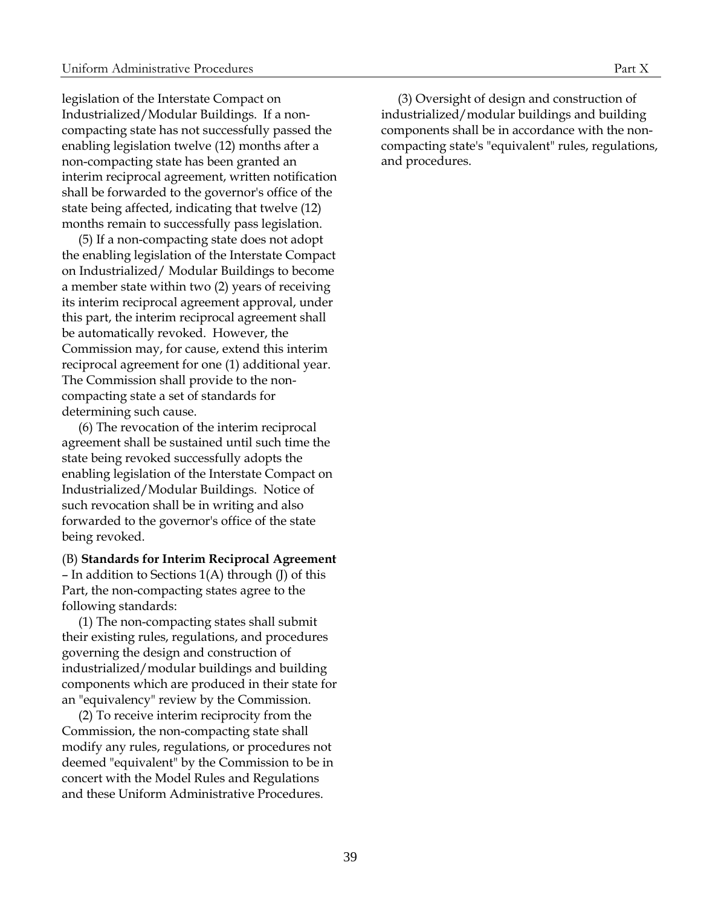legislation of the Interstate Compact on Industrialized/Modular Buildings. If a noncompacting state has not successfully passed the enabling legislation twelve (12) months after a non-compacting state has been granted an interim reciprocal agreement, written notification shall be forwarded to the governor's office of the state being affected, indicating that twelve (12) months remain to successfully pass legislation.

(5) If a non-compacting state does not adopt the enabling legislation of the Interstate Compact on Industrialized/ Modular Buildings to become a member state within two (2) years of receiving its interim reciprocal agreement approval, under this part, the interim reciprocal agreement shall be automatically revoked. However, the Commission may, for cause, extend this interim reciprocal agreement for one (1) additional year. The Commission shall provide to the noncompacting state a set of standards for determining such cause.

(6) The revocation of the interim reciprocal agreement shall be sustained until such time the state being revoked successfully adopts the enabling legislation of the Interstate Compact on Industrialized/Modular Buildings. Notice of such revocation shall be in writing and also forwarded to the governor's office of the state being revoked.

#### <span id="page-44-0"></span>(B) **Standards for Interim Reciprocal Agreement**

– In addition to Sections 1(A) through (J) of this Part, the non-compacting states agree to the following standards:

(1) The non-compacting states shall submit their existing rules, regulations, and procedures governing the design and construction of industrialized/modular buildings and building components which are produced in their state for an "equivalency" review by the Commission.

(2) To receive interim reciprocity from the Commission, the non-compacting state shall modify any rules, regulations, or procedures not deemed "equivalent" by the Commission to be in concert with the Model Rules and Regulations and these Uniform Administrative Procedures.

(3) Oversight of design and construction of industrialized/modular buildings and building components shall be in accordance with the noncompacting state's "equivalent" rules, regulations, and procedures.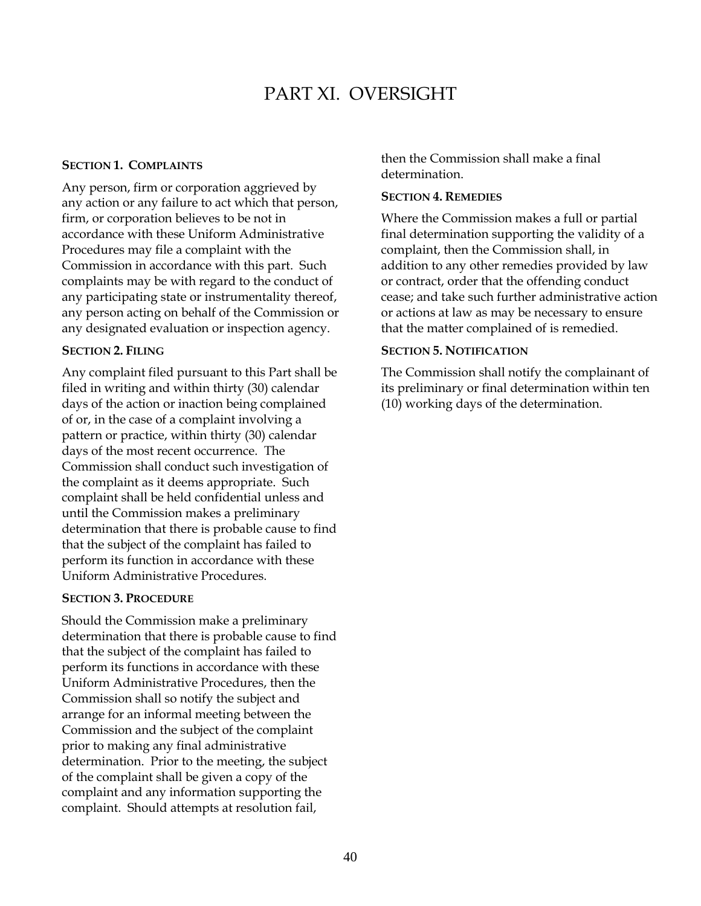# <span id="page-45-1"></span>PART XI. OVERSIGHT

# **SECTION 1. COMPLAINTS**

Any person, firm or corporation aggrieved by any action or any failure to act which that person, firm, or corporation believes to be not in accordance with these Uniform Administrative Procedures may file a complaint with the Commission in accordance with this part. Such complaints may be with regard to the conduct of any participating state or instrumentality thereof, any person acting on behalf of the Commission or any designated evaluation or inspection agency.

# <span id="page-45-2"></span>**SECTION 2. FILING**

Any complaint filed pursuant to this Part shall be filed in writing and within thirty (30) calendar days of the action or inaction being complained of or, in the case of a complaint involving a pattern or practice, within thirty (30) calendar days of the most recent occurrence. The Commission shall conduct such investigation of the complaint as it deems appropriate. Such complaint shall be held confidential unless and until the Commission makes a preliminary determination that there is probable cause to find that the subject of the complaint has failed to perform its function in accordance with these Uniform Administrative Procedures.

# <span id="page-45-3"></span>**SECTION 3. PROCEDURE**

Should the Commission make a preliminary determination that there is probable cause to find that the subject of the complaint has failed to perform its functions in accordance with these Uniform Administrative Procedures, then the Commission shall so notify the subject and arrange for an informal meeting between the Commission and the subject of the complaint prior to making any final administrative determination. Prior to the meeting, the subject of the complaint shall be given a copy of the complaint and any information supporting the complaint. Should attempts at resolution fail,

<span id="page-45-0"></span>then the Commission shall make a final determination.

# <span id="page-45-4"></span>**SECTION 4. REMEDIES**

Where the Commission makes a full or partial final determination supporting the validity of a complaint, then the Commission shall, in addition to any other remedies provided by law or contract, order that the offending conduct cease; and take such further administrative action or actions at law as may be necessary to ensure that the matter complained of is remedied.

# <span id="page-45-5"></span>**SECTION 5. NOTIFICATION**

The Commission shall notify the complainant of its preliminary or final determination within ten (10) working days of the determination.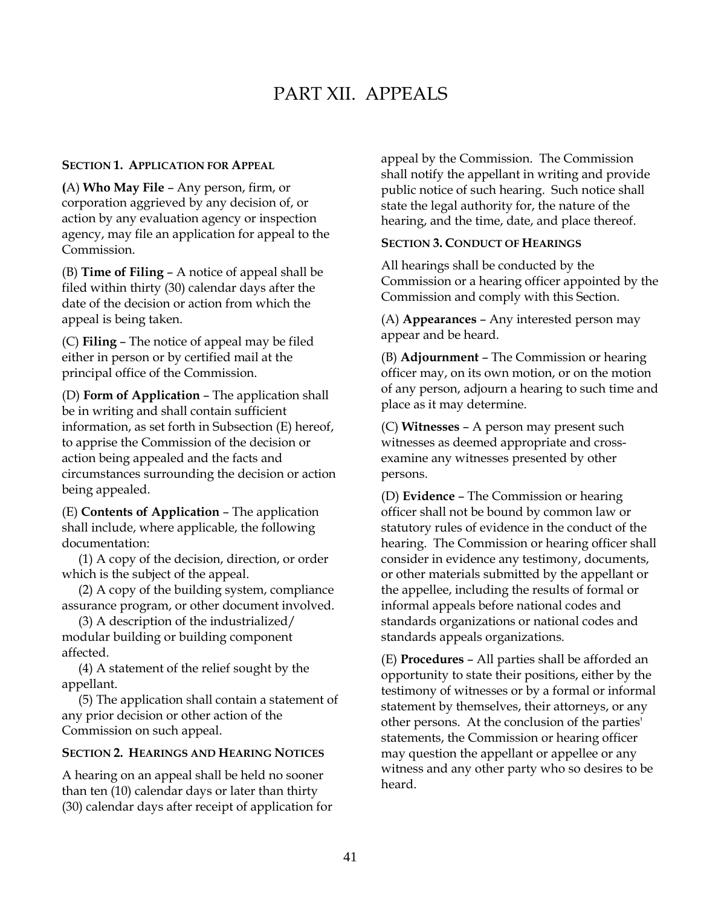# <span id="page-46-1"></span>PART XII. APPEALS

#### **SECTION 1. APPLICATION FOR APPEAL**

<span id="page-46-2"></span>**(**A) **Who May File** – Any person, firm, or corporation aggrieved by any decision of, or action by any evaluation agency or inspection agency, may file an application for appeal to the Commission.

<span id="page-46-3"></span>(B) **Time of Filing** – A notice of appeal shall be filed within thirty (30) calendar days after the date of the decision or action from which the appeal is being taken.

<span id="page-46-4"></span>(C) **Filing** – The notice of appeal may be filed either in person or by certified mail at the principal office of the Commission.

<span id="page-46-5"></span>(D) **Form of Application** – The application shall be in writing and shall contain sufficient information, as set forth in Subsection (E) hereof, to apprise the Commission of the decision or action being appealed and the facts and circumstances surrounding the decision or action being appealed.

<span id="page-46-6"></span>(E) **Contents of Application** – The application shall include, where applicable, the following documentation:

(1) A copy of the decision, direction, or order which is the subject of the appeal.

(2) A copy of the building system, compliance assurance program, or other document involved.

(3) A description of the industrialized/ modular building or building component affected.

(4) A statement of the relief sought by the appellant.

(5) The application shall contain a statement of any prior decision or other action of the Commission on such appeal.

#### **SECTION 2. HEARINGS AND HEARING NOTICES**

A hearing on an appeal shall be held no sooner than ten (10) calendar days or later than thirty (30) calendar days after receipt of application for <span id="page-46-0"></span>appeal by the Commission. The Commission shall notify the appellant in writing and provide public notice of such hearing. Such notice shall state the legal authority for, the nature of the hearing, and the time, date, and place thereof.

# <span id="page-46-8"></span>**SECTION 3. CONDUCT OF HEARINGS**

All hearings shall be conducted by the Commission or a hearing officer appointed by the Commission and comply with this Section.

<span id="page-46-9"></span>(A) **Appearances** – Any interested person may appear and be heard.

<span id="page-46-10"></span>(B) **Adjournment** – The Commission or hearing officer may, on its own motion, or on the motion of any person, adjourn a hearing to such time and place as it may determine.

<span id="page-46-11"></span>(C) **Witnesses** – A person may present such witnesses as deemed appropriate and crossexamine any witnesses presented by other persons.

<span id="page-46-12"></span>(D) **Evidence** – The Commission or hearing officer shall not be bound by common law or statutory rules of evidence in the conduct of the hearing. The Commission or hearing officer shall consider in evidence any testimony, documents, or other materials submitted by the appellant or the appellee, including the results of formal or informal appeals before national codes and standards organizations or national codes and standards appeals organizations.

<span id="page-46-13"></span><span id="page-46-7"></span>(E) **Procedures** – All parties shall be afforded an opportunity to state their positions, either by the testimony of witnesses or by a formal or informal statement by themselves, their attorneys, or any other persons. At the conclusion of the parties' statements, the Commission or hearing officer may question the appellant or appellee or any witness and any other party who so desires to be heard.